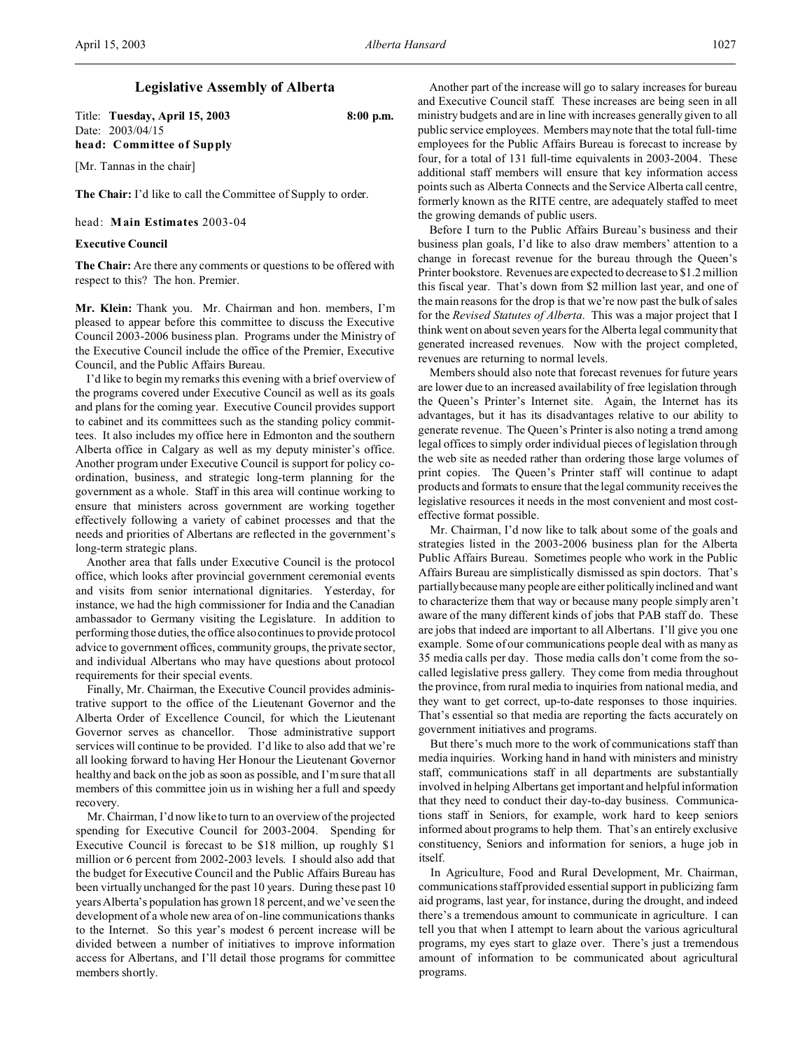## **Legislative Assembly of Alberta**

Title: **Tuesday, April 15, 2003 8:00 p.m.** Date: 2003/04/15 **head: Committee of Supply**

[Mr. Tannas in the chair]

**The Chair:** I'd like to call the Committee of Supply to order.

head: **Main Estimates** 2003-04

## **Executive Council**

**The Chair:** Are there any comments or questions to be offered with respect to this? The hon. Premier.

**Mr. Klein:** Thank you. Mr. Chairman and hon. members, I'm pleased to appear before this committee to discuss the Executive Council 2003-2006 business plan. Programs under the Ministry of the Executive Council include the office of the Premier, Executive Council, and the Public Affairs Bureau.

I'd like to begin my remarks this evening with a brief overview of the programs covered under Executive Council as well as its goals and plans for the coming year. Executive Council provides support to cabinet and its committees such as the standing policy committees. It also includes my office here in Edmonton and the southern Alberta office in Calgary as well as my deputy minister's office. Another program under Executive Council is support for policy coordination, business, and strategic long-term planning for the government as a whole. Staff in this area will continue working to ensure that ministers across government are working together effectively following a variety of cabinet processes and that the needs and priorities of Albertans are reflected in the government's long-term strategic plans.

Another area that falls under Executive Council is the protocol office, which looks after provincial government ceremonial events and visits from senior international dignitaries. Yesterday, for instance, we had the high commissioner for India and the Canadian ambassador to Germany visiting the Legislature. In addition to performing those duties, the office also continues to provide protocol advice to government offices, community groups, the private sector, and individual Albertans who may have questions about protocol requirements for their special events.

Finally, Mr. Chairman, the Executive Council provides administrative support to the office of the Lieutenant Governor and the Alberta Order of Excellence Council, for which the Lieutenant Governor serves as chancellor. Those administrative support services will continue to be provided. I'd like to also add that we're all looking forward to having Her Honour the Lieutenant Governor healthy and back on the job as soon as possible, and I'm sure that all members of this committee join us in wishing her a full and speedy recovery.

Mr. Chairman, I'd now like to turn to an overview of the projected spending for Executive Council for 2003-2004. Spending for Executive Council is forecast to be \$18 million, up roughly \$1 million or 6 percent from 2002-2003 levels. I should also add that the budget for Executive Council and the Public Affairs Bureau has been virtually unchanged for the past 10 years. During these past 10 years Alberta's population has grown 18 percent, and we've seen the development of a whole new area of on-line communications thanks to the Internet. So this year's modest 6 percent increase will be divided between a number of initiatives to improve information access for Albertans, and I'll detail those programs for committee members shortly.

Another part of the increase will go to salary increases for bureau and Executive Council staff. These increases are being seen in all ministry budgets and are in line with increases generally given to all public service employees. Members may note that the total full-time employees for the Public Affairs Bureau is forecast to increase by four, for a total of 131 full-time equivalents in 2003-2004. These additional staff members will ensure that key information access points such as Alberta Connects and the Service Alberta call centre, formerly known as the RITE centre, are adequately staffed to meet the growing demands of public users.

Before I turn to the Public Affairs Bureau's business and their business plan goals, I'd like to also draw members' attention to a change in forecast revenue for the bureau through the Queen's Printer bookstore. Revenues are expected to decrease to \$1.2 million this fiscal year. That's down from \$2 million last year, and one of the main reasons for the drop is that we're now past the bulk of sales for the *Revised Statutes of Alberta*. This was a major project that I think went on about seven years for the Alberta legal community that generated increased revenues. Now with the project completed, revenues are returning to normal levels.

Members should also note that forecast revenues for future years are lower due to an increased availability of free legislation through the Queen's Printer's Internet site. Again, the Internet has its advantages, but it has its disadvantages relative to our ability to generate revenue. The Queen's Printer is also noting a trend among legal offices to simply order individual pieces of legislation through the web site as needed rather than ordering those large volumes of print copies. The Queen's Printer staff will continue to adapt products and formats to ensure that the legal community receives the legislative resources it needs in the most convenient and most costeffective format possible.

Mr. Chairman, I'd now like to talk about some of the goals and strategies listed in the 2003-2006 business plan for the Alberta Public Affairs Bureau. Sometimes people who work in the Public Affairs Bureau are simplistically dismissed as spin doctors. That's partially because many people are either politicallyinclined and want to characterize them that way or because many people simply aren't aware of the many different kinds of jobs that PAB staff do. These are jobs that indeed are important to all Albertans. I'll give you one example. Some of our communications people deal with as many as 35 media calls per day. Those media calls don't come from the socalled legislative press gallery. They come from media throughout the province, from rural media to inquiries from national media, and they want to get correct, up-to-date responses to those inquiries. That's essential so that media are reporting the facts accurately on government initiatives and programs.

But there's much more to the work of communications staff than media inquiries. Working hand in hand with ministers and ministry staff, communications staff in all departments are substantially involved in helping Albertans get important and helpful information that they need to conduct their day-to-day business. Communications staff in Seniors, for example, work hard to keep seniors informed about programs to help them. That's an entirely exclusive constituency, Seniors and information for seniors, a huge job in itself.

In Agriculture, Food and Rural Development, Mr. Chairman, communications staff provided essential support in publicizing farm aid programs, last year, for instance, during the drought, and indeed there's a tremendous amount to communicate in agriculture. I can tell you that when I attempt to learn about the various agricultural programs, my eyes start to glaze over. There's just a tremendous amount of information to be communicated about agricultural programs.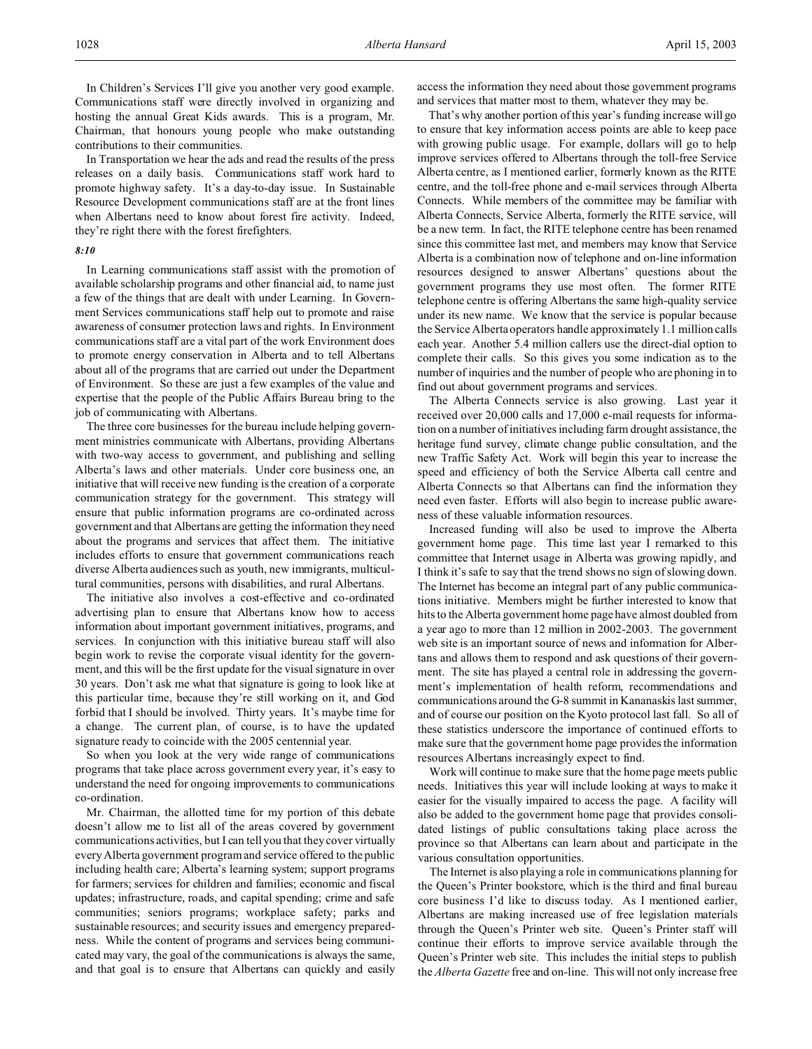In Children's Services I'll give you another very good example. Communications staff were directly involved in organizing and hosting the annual Great Kids awards. This is a program, Mr. Chairman, that honours young people who make outstanding contributions to their communities.

In Transportation we hear the ads and read the results of the press releases on a daily basis. Communications staff work hard to promote highway safety. It's a day-to-day issue. In Sustainable Resource Development communications staff are at the front lines when Albertans need to know about forest fire activity. Indeed, they're right there with the forest firefighters.

### *8:10*

In Learning communications staff assist with the promotion of available scholarship programs and other financial aid, to name just a few of the things that are dealt with under Learning. In Government Services communications staff help out to promote and raise awareness of consumer protection laws and rights. In Environment communications staff are a vital part of the work Environment does to promote energy conservation in Alberta and to tell Albertans about all of the programs that are carried out under the Department of Environment. So these are just a few examples of the value and expertise that the people of the Public Affairs Bureau bring to the job of communicating with Albertans.

The three core businesses for the bureau include helping government ministries communicate with Albertans, providing Albertans with two-way access to government, and publishing and selling Alberta's laws and other materials. Under core business one, an initiative that will receive new funding is the creation of a corporate communication strategy for the government. This strategy will ensure that public information programs are co-ordinated across government and that Albertans are getting the information they need about the programs and services that affect them. The initiative includes efforts to ensure that government communications reach diverse Alberta audiences such as youth, new immigrants, multicultural communities, persons with disabilities, and rural Albertans.

The initiative also involves a cost-effective and co-ordinated advertising plan to ensure that Albertans know how to access information about important government initiatives, programs, and services. In conjunction with this initiative bureau staff will also begin work to revise the corporate visual identity for the government, and this will be the first update for the visual signature in over 30 years. Don't ask me what that signature is going to look like at this particular time, because they're still working on it, and God forbid that I should be involved. Thirty years. It's maybe time for a change. The current plan, of course, is to have the updated signature ready to coincide with the 2005 centennial year.

So when you look at the very wide range of communications programs that take place across government every year, it's easy to understand the need for ongoing improvements to communications co-ordination.

Mr. Chairman, the allotted time for my portion of this debate doesn't allow me to list all of the areas covered by government communications activities, but I can tell you that they cover virtually every Alberta government program and service offered to the public including health care; Alberta's learning system; support programs for farmers; services for children and families; economic and fiscal updates; infrastructure, roads, and capital spending; crime and safe communities; seniors programs; workplace safety; parks and sustainable resources; and security issues and emergency preparedness. While the content of programs and services being communicated may vary, the goal of the communications is always the same, and that goal is to ensure that Albertans can quickly and easily access the information they need about those government programs and services that matter most to them, whatever they may be.

That's why another portion of this year's funding increase will go to ensure that key information access points are able to keep pace with growing public usage. For example, dollars will go to help improve services offered to Albertans through the toll-free Service Alberta centre, as I mentioned earlier, formerly known as the RITE centre, and the toll-free phone and e-mail services through Alberta Connects. While members of the committee may be familiar with Alberta Connects, Service Alberta, formerly the RITE service, will be a new term. In fact, the RITE telephone centre has been renamed since this committee last met, and members may know that Service Alberta is a combination now of telephone and on-line information resources designed to answer Albertans' questions about the government programs they use most often. The former RITE telephone centre is offering Albertans the same high-quality service under its new name. We know that the service is popular because the Service Alberta operators handle approximately 1.1 million calls each year. Another 5.4 million callers use the direct-dial option to complete their calls. So this gives you some indication as to the number of inquiries and the number of people who are phoning in to find out about government programs and services.

The Alberta Connects service is also growing. Last year it received over 20,000 calls and 17,000 e-mail requests for information on a number of initiatives including farm drought assistance, the heritage fund survey, climate change public consultation, and the new Traffic Safety Act. Work will begin this year to increase the speed and efficiency of both the Service Alberta call centre and Alberta Connects so that Albertans can find the information they need even faster. Efforts will also begin to increase public awareness of these valuable information resources.

Increased funding will also be used to improve the Alberta government home page. This time last year I remarked to this committee that Internet usage in Alberta was growing rapidly, and I think it's safe to say that the trend shows no sign of slowing down. The Internet has become an integral part of any public communications initiative. Members might be further interested to know that hits to the Alberta government home page have almost doubled from a year ago to more than 12 million in 2002-2003. The government web site is an important source of news and information for Albertans and allows them to respond and ask questions of their government. The site has played a central role in addressing the government's implementation of health reform, recommendations and communications around the G-8 summit in Kananaskis last summer, and of course our position on the Kyoto protocol last fall. So all of these statistics underscore the importance of continued efforts to make sure that the government home page provides the information resources Albertans increasingly expect to find.

Work will continue to make sure that the home page meets public needs. Initiatives this year will include looking at ways to make it easier for the visually impaired to access the page. A facility will also be added to the government home page that provides consolidated listings of public consultations taking place across the province so that Albertans can learn about and participate in the various consultation opportunities.

The Internet is also playing a role in communications planning for the Queen's Printer bookstore, which is the third and final bureau core business I'd like to discuss today. As I mentioned earlier, Albertans are making increased use of free legislation materials through the Queen's Printer web site. Queen's Printer staff will continue their efforts to improve service available through the Queen's Printer web site. This includes the initial steps to publish the *Alberta Gazette* free and on-line. This will not only increase free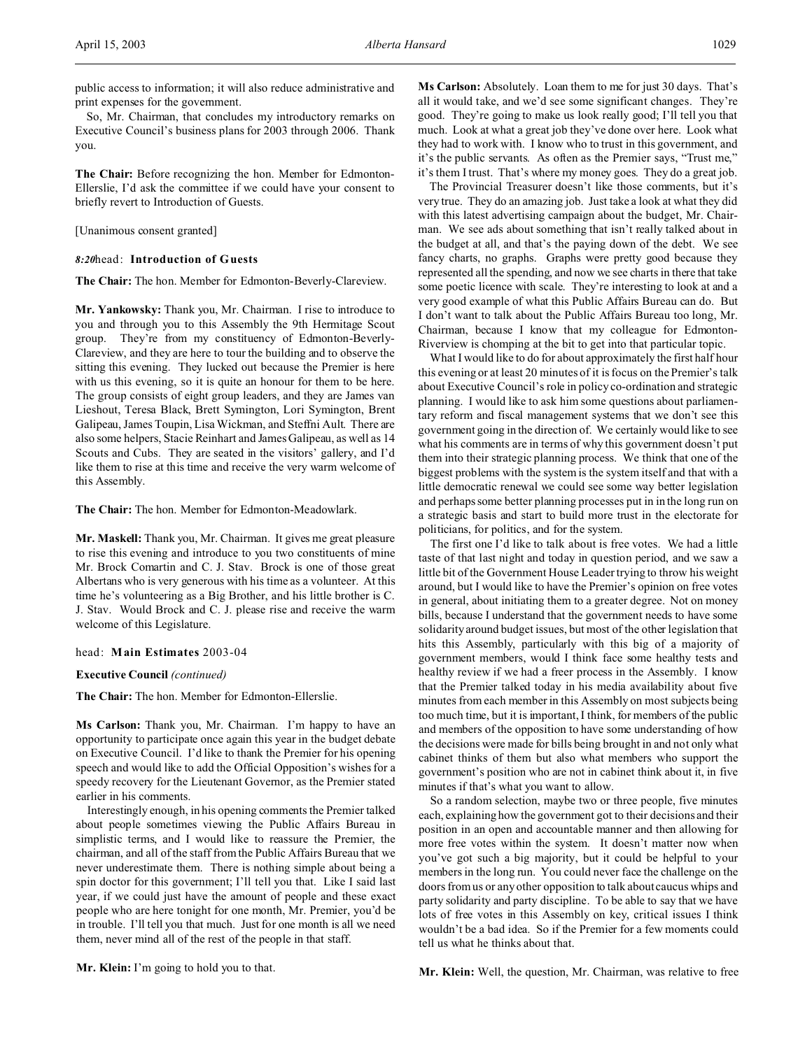public access to information; it will also reduce administrative and print expenses for the government.

So, Mr. Chairman, that concludes my introductory remarks on Executive Council's business plans for 2003 through 2006. Thank you.

**The Chair:** Before recognizing the hon. Member for Edmonton-Ellerslie, I'd ask the committee if we could have your consent to briefly revert to Introduction of Guests.

[Unanimous consent granted]

## *8:20*head: **Introduction of Guests**

**The Chair:** The hon. Member for Edmonton-Beverly-Clareview.

**Mr. Yankowsky:** Thank you, Mr. Chairman. I rise to introduce to you and through you to this Assembly the 9th Hermitage Scout group. They're from my constituency of Edmonton-Beverly-Clareview, and they are here to tour the building and to observe the sitting this evening. They lucked out because the Premier is here with us this evening, so it is quite an honour for them to be here. The group consists of eight group leaders, and they are James van Lieshout, Teresa Black, Brett Symington, Lori Symington, Brent Galipeau, James Toupin, Lisa Wickman, and Steffni Ault. There are also some helpers, Stacie Reinhart and James Galipeau, as well as 14 Scouts and Cubs. They are seated in the visitors' gallery, and I'd like them to rise at this time and receive the very warm welcome of this Assembly.

**The Chair:** The hon. Member for Edmonton-Meadowlark.

**Mr. Maskell:** Thank you, Mr. Chairman. It gives me great pleasure to rise this evening and introduce to you two constituents of mine Mr. Brock Comartin and C. J. Stav. Brock is one of those great Albertans who is very generous with his time as a volunteer. At this time he's volunteering as a Big Brother, and his little brother is C. J. Stav. Would Brock and C. J. please rise and receive the warm welcome of this Legislature.

head: **Main Estimates** 2003-04

**Executive Council** *(continued)*

**The Chair:** The hon. Member for Edmonton-Ellerslie.

**Ms Carlson:** Thank you, Mr. Chairman. I'm happy to have an opportunity to participate once again this year in the budget debate on Executive Council. I'd like to thank the Premier for his opening speech and would like to add the Official Opposition's wishes for a speedy recovery for the Lieutenant Governor, as the Premier stated earlier in his comments.

Interestingly enough, in his opening comments the Premier talked about people sometimes viewing the Public Affairs Bureau in simplistic terms, and I would like to reassure the Premier, the chairman, and all of the staff from the Public Affairs Bureau that we never underestimate them. There is nothing simple about being a spin doctor for this government; I'll tell you that. Like I said last year, if we could just have the amount of people and these exact people who are here tonight for one month, Mr. Premier, you'd be in trouble. I'll tell you that much. Just for one month is all we need them, never mind all of the rest of the people in that staff.

all it would take, and we'd see some significant changes. They're good. They're going to make us look really good; I'll tell you that much. Look at what a great job they've done over here. Look what they had to work with. I know who to trust in this government, and it's the public servants. As often as the Premier says, "Trust me," it's them I trust. That's where my money goes. They do a great job. The Provincial Treasurer doesn't like those comments, but it's

very true. They do an amazing job. Just take a look at what they did with this latest advertising campaign about the budget, Mr. Chairman. We see ads about something that isn't really talked about in the budget at all, and that's the paying down of the debt. We see fancy charts, no graphs. Graphs were pretty good because they represented all the spending, and now we see charts in there that take some poetic licence with scale. They're interesting to look at and a very good example of what this Public Affairs Bureau can do. But I don't want to talk about the Public Affairs Bureau too long, Mr. Chairman, because I know that my colleague for Edmonton-Riverview is chomping at the bit to get into that particular topic.

**Ms Carlson:** Absolutely. Loan them to me for just 30 days. That's

What I would like to do for about approximately the first half hour this evening or at least 20 minutes of it is focus on the Premier's talk about Executive Council's role in policy co-ordination and strategic planning. I would like to ask him some questions about parliamentary reform and fiscal management systems that we don't see this government going in the direction of. We certainly would like to see what his comments are in terms of why this government doesn't put them into their strategic planning process. We think that one of the biggest problems with the system is the system itself and that with a little democratic renewal we could see some way better legislation and perhaps some better planning processes put in in the long run on a strategic basis and start to build more trust in the electorate for politicians, for politics, and for the system.

The first one I'd like to talk about is free votes. We had a little taste of that last night and today in question period, and we saw a little bit of the Government House Leader trying to throw his weight around, but I would like to have the Premier's opinion on free votes in general, about initiating them to a greater degree. Not on money bills, because I understand that the government needs to have some solidarity around budget issues, but most of the other legislation that hits this Assembly, particularly with this big of a majority of government members, would I think face some healthy tests and healthy review if we had a freer process in the Assembly. I know that the Premier talked today in his media availability about five minutes from each member in this Assembly on most subjects being too much time, but it is important, I think, for members of the public and members of the opposition to have some understanding of how the decisions were made for bills being brought in and not only what cabinet thinks of them but also what members who support the government's position who are not in cabinet think about it, in five minutes if that's what you want to allow.

So a random selection, maybe two or three people, five minutes each, explaining how the government got to their decisions and their position in an open and accountable manner and then allowing for more free votes within the system. It doesn't matter now when you've got such a big majority, but it could be helpful to your members in the long run. You could never face the challenge on the doors from us or any other opposition to talk about caucus whips and party solidarity and party discipline. To be able to say that we have lots of free votes in this Assembly on key, critical issues I think wouldn't be a bad idea. So if the Premier for a few moments could tell us what he thinks about that.

**Mr. Klein:** I'm going to hold you to that.

**Mr. Klein:** Well, the question, Mr. Chairman, was relative to free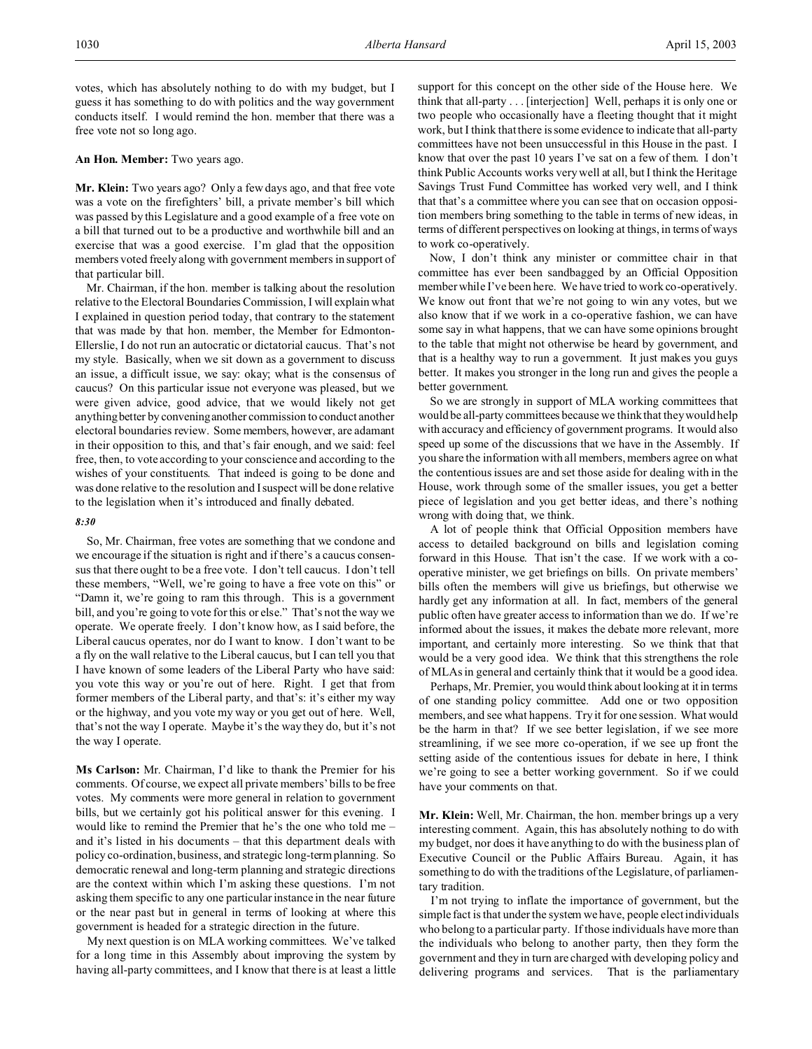votes, which has absolutely nothing to do with my budget, but I guess it has something to do with politics and the way government conducts itself. I would remind the hon. member that there was a free vote not so long ago.

### **An Hon. Member:** Two years ago.

**Mr. Klein:** Two years ago? Only a few days ago, and that free vote was a vote on the firefighters' bill, a private member's bill which was passed by this Legislature and a good example of a free vote on a bill that turned out to be a productive and worthwhile bill and an exercise that was a good exercise. I'm glad that the opposition members voted freely along with government members in support of that particular bill.

Mr. Chairman, if the hon. member is talking about the resolution relative to the Electoral Boundaries Commission, I will explain what I explained in question period today, that contrary to the statement that was made by that hon. member, the Member for Edmonton-Ellerslie, I do not run an autocratic or dictatorial caucus. That's not my style. Basically, when we sit down as a government to discuss an issue, a difficult issue, we say: okay; what is the consensus of caucus? On this particular issue not everyone was pleased, but we were given advice, good advice, that we would likely not get anything better by conveninganother commission to conduct another electoral boundaries review. Some members, however, are adamant in their opposition to this, and that's fair enough, and we said: feel free, then, to vote according to your conscience and according to the wishes of your constituents. That indeed is going to be done and was done relative to the resolution and I suspect will be done relative to the legislation when it's introduced and finally debated.

## *8:30*

So, Mr. Chairman, free votes are something that we condone and we encourage if the situation is right and if there's a caucus consensus that there ought to be a free vote. I don't tell caucus. I don't tell these members, "Well, we're going to have a free vote on this" or "Damn it, we're going to ram this through. This is a government bill, and you're going to vote for this or else." That's not the way we operate. We operate freely. I don't know how, as I said before, the Liberal caucus operates, nor do I want to know. I don't want to be a fly on the wall relative to the Liberal caucus, but I can tell you that I have known of some leaders of the Liberal Party who have said: you vote this way or you're out of here. Right. I get that from former members of the Liberal party, and that's: it's either my way or the highway, and you vote my way or you get out of here. Well, that's not the way I operate. Maybe it's the way they do, but it's not the way I operate.

**Ms Carlson:** Mr. Chairman, I'd like to thank the Premier for his comments. Of course, we expect all private members' bills to be free votes. My comments were more general in relation to government bills, but we certainly got his political answer for this evening. I would like to remind the Premier that he's the one who told me – and it's listed in his documents – that this department deals with policy co-ordination, business, and strategic long-term planning. So democratic renewal and long-term planning and strategic directions are the context within which I'm asking these questions. I'm not asking them specific to any one particular instance in the near future or the near past but in general in terms of looking at where this government is headed for a strategic direction in the future.

My next question is on MLA working committees. We've talked for a long time in this Assembly about improving the system by having all-party committees, and I know that there is at least a little support for this concept on the other side of the House here. We think that all-party . . . [interjection] Well, perhaps it is only one or two people who occasionally have a fleeting thought that it might work, but I think that there is some evidence to indicate that all-party committees have not been unsuccessful in this House in the past. I know that over the past 10 years I've sat on a few of them. I don't think Public Accounts works very well at all, but I think the Heritage Savings Trust Fund Committee has worked very well, and I think that that's a committee where you can see that on occasion opposition members bring something to the table in terms of new ideas, in terms of different perspectives on looking at things, in terms of ways to work co-operatively.

Now, I don't think any minister or committee chair in that committee has ever been sandbagged by an Official Opposition member while I've been here. We have tried to work co-operatively. We know out front that we're not going to win any votes, but we also know that if we work in a co-operative fashion, we can have some say in what happens, that we can have some opinions brought to the table that might not otherwise be heard by government, and that is a healthy way to run a government. It just makes you guys better. It makes you stronger in the long run and gives the people a better government.

So we are strongly in support of MLA working committees that would be all-party committees because we think that they would help with accuracy and efficiency of government programs. It would also speed up some of the discussions that we have in the Assembly. If you share the information with all members, members agree on what the contentious issues are and set those aside for dealing with in the House, work through some of the smaller issues, you get a better piece of legislation and you get better ideas, and there's nothing wrong with doing that, we think.

A lot of people think that Official Opposition members have access to detailed background on bills and legislation coming forward in this House. That isn't the case. If we work with a cooperative minister, we get briefings on bills. On private members' bills often the members will give us briefings, but otherwise we hardly get any information at all. In fact, members of the general public often have greater access to information than we do. If we're informed about the issues, it makes the debate more relevant, more important, and certainly more interesting. So we think that that would be a very good idea. We think that this strengthens the role of MLAs in general and certainly think that it would be a good idea.

Perhaps, Mr. Premier, you would think about looking at it in terms of one standing policy committee. Add one or two opposition members, and see what happens. Try it for one session. What would be the harm in that? If we see better legislation, if we see more streamlining, if we see more co-operation, if we see up front the setting aside of the contentious issues for debate in here, I think we're going to see a better working government. So if we could have your comments on that.

**Mr. Klein:** Well, Mr. Chairman, the hon. member brings up a very interesting comment. Again, this has absolutely nothing to do with my budget, nor does it have anything to do with the business plan of Executive Council or the Public Affairs Bureau. Again, it has something to do with the traditions of the Legislature, of parliamentary tradition.

I'm not trying to inflate the importance of government, but the simple fact is that under the system we have, people elect individuals who belong to a particular party. If those individuals have more than the individuals who belong to another party, then they form the government and they in turn are charged with developing policy and delivering programs and services. That is the parliamentary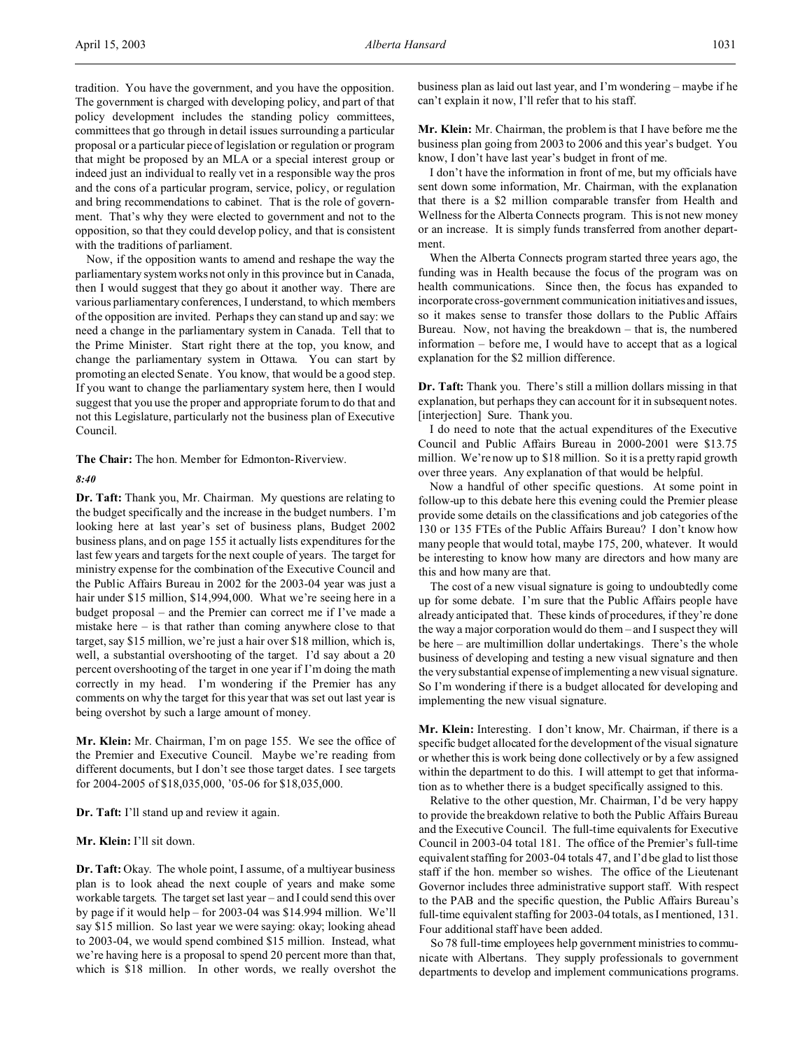tradition. You have the government, and you have the opposition. The government is charged with developing policy, and part of that policy development includes the standing policy committees, committees that go through in detail issues surrounding a particular proposal or a particular piece of legislation or regulation or program that might be proposed by an MLA or a special interest group or indeed just an individual to really vet in a responsible way the pros and the cons of a particular program, service, policy, or regulation and bring recommendations to cabinet. That is the role of government. That's why they were elected to government and not to the opposition, so that they could develop policy, and that is consistent with the traditions of parliament.

Now, if the opposition wants to amend and reshape the way the parliamentary system works not only in this province but in Canada, then I would suggest that they go about it another way. There are various parliamentary conferences, I understand, to which members of the opposition are invited. Perhaps they can stand up and say: we need a change in the parliamentary system in Canada. Tell that to the Prime Minister. Start right there at the top, you know, and change the parliamentary system in Ottawa. You can start by promoting an elected Senate. You know, that would be a good step. If you want to change the parliamentary system here, then I would suggest that you use the proper and appropriate forum to do that and not this Legislature, particularly not the business plan of Executive Council.

**The Chair:** The hon. Member for Edmonton-Riverview.

## *8:40*

**Dr. Taft:** Thank you, Mr. Chairman. My questions are relating to the budget specifically and the increase in the budget numbers. I'm looking here at last year's set of business plans, Budget 2002 business plans, and on page 155 it actually lists expenditures for the last few years and targets for the next couple of years. The target for ministry expense for the combination of the Executive Council and the Public Affairs Bureau in 2002 for the 2003-04 year was just a hair under \$15 million, \$14,994,000. What we're seeing here in a budget proposal – and the Premier can correct me if I've made a mistake here – is that rather than coming anywhere close to that target, say \$15 million, we're just a hair over \$18 million, which is, well, a substantial overshooting of the target. I'd say about a 20 percent overshooting of the target in one year if I'm doing the math correctly in my head. I'm wondering if the Premier has any comments on why the target for this year that was set out last year is being overshot by such a large amount of money.

**Mr. Klein:** Mr. Chairman, I'm on page 155. We see the office of the Premier and Executive Council. Maybe we're reading from different documents, but I don't see those target dates. I see targets for 2004-2005 of \$18,035,000, '05-06 for \$18,035,000.

**Dr. Taft:** I'll stand up and review it again.

**Mr. Klein:** I'll sit down.

**Dr. Taft:** Okay. The whole point, I assume, of a multiyear business plan is to look ahead the next couple of years and make some workable targets. The target set last year – and I could send this over by page if it would help – for 2003-04 was \$14.994 million. We'll say \$15 million. So last year we were saying: okay; looking ahead to 2003-04, we would spend combined \$15 million. Instead, what we're having here is a proposal to spend 20 percent more than that, which is \$18 million. In other words, we really overshot the business plan as laid out last year, and I'm wondering – maybe if he can't explain it now, I'll refer that to his staff.

**Mr. Klein:** Mr. Chairman, the problem is that I have before me the business plan going from 2003 to 2006 and this year's budget. You know, I don't have last year's budget in front of me.

I don't have the information in front of me, but my officials have sent down some information, Mr. Chairman, with the explanation that there is a \$2 million comparable transfer from Health and Wellness for the Alberta Connects program. This is not new money or an increase. It is simply funds transferred from another department.

When the Alberta Connects program started three years ago, the funding was in Health because the focus of the program was on health communications. Since then, the focus has expanded to incorporate cross-government communication initiatives and issues, so it makes sense to transfer those dollars to the Public Affairs Bureau. Now, not having the breakdown – that is, the numbered information – before me, I would have to accept that as a logical explanation for the \$2 million difference.

**Dr. Taft:** Thank you. There's still a million dollars missing in that explanation, but perhaps they can account for it in subsequent notes. [interjection] Sure. Thank you.

I do need to note that the actual expenditures of the Executive Council and Public Affairs Bureau in 2000-2001 were \$13.75 million. We're now up to \$18 million. So it is a pretty rapid growth over three years. Any explanation of that would be helpful.

Now a handful of other specific questions. At some point in follow-up to this debate here this evening could the Premier please provide some details on the classifications and job categories of the 130 or 135 FTEs of the Public Affairs Bureau? I don't know how many people that would total, maybe 175, 200, whatever. It would be interesting to know how many are directors and how many are this and how many are that.

The cost of a new visual signature is going to undoubtedly come up for some debate. I'm sure that the Public Affairs people have already anticipated that. These kinds of procedures, if they're done the way a major corporation would do them – and I suspect they will be here – are multimillion dollar undertakings. There's the whole business of developing and testing a new visual signature and then the very substantial expense of implementing a new visual signature. So I'm wondering if there is a budget allocated for developing and implementing the new visual signature.

**Mr. Klein:** Interesting. I don't know, Mr. Chairman, if there is a specific budget allocated for the development of the visual signature or whether this is work being done collectively or by a few assigned within the department to do this. I will attempt to get that information as to whether there is a budget specifically assigned to this.

Relative to the other question, Mr. Chairman, I'd be very happy to provide the breakdown relative to both the Public Affairs Bureau and the Executive Council. The full-time equivalents for Executive Council in 2003-04 total 181. The office of the Premier's full-time equivalent staffing for 2003-04 totals 47, and I'd be glad to list those staff if the hon. member so wishes. The office of the Lieutenant Governor includes three administrative support staff. With respect to the PAB and the specific question, the Public Affairs Bureau's full-time equivalent staffing for 2003-04 totals, as I mentioned, 131. Four additional staff have been added.

So 78 full-time employees help government ministries to communicate with Albertans. They supply professionals to government departments to develop and implement communications programs.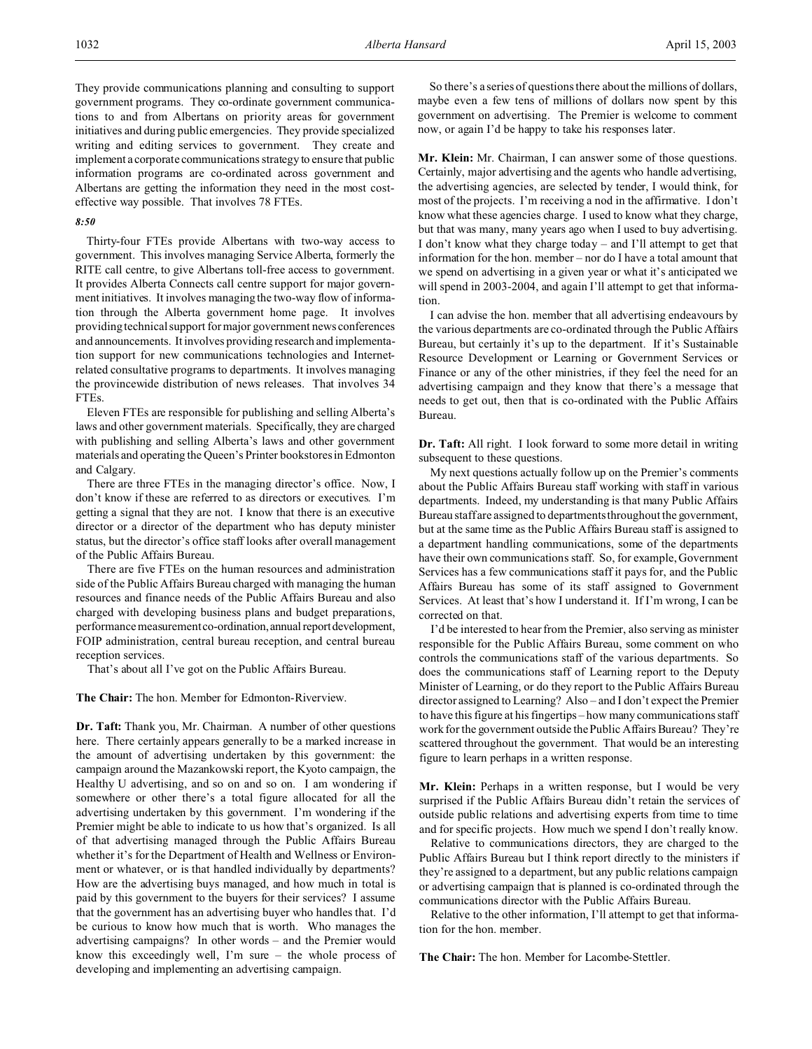They provide communications planning and consulting to support government programs. They co-ordinate government communications to and from Albertans on priority areas for government initiatives and during public emergencies. They provide specialized writing and editing services to government. They create and implement a corporate communications strategy to ensure that public information programs are co-ordinated across government and Albertans are getting the information they need in the most costeffective way possible. That involves 78 FTEs.

### *8:50*

Thirty-four FTEs provide Albertans with two-way access to government. This involves managing Service Alberta, formerly the RITE call centre, to give Albertans toll-free access to government. It provides Alberta Connects call centre support for major government initiatives. It involves managing the two-way flow of information through the Alberta government home page. It involves providing technical support for major government news conferences and announcements. It involves providing research and implementation support for new communications technologies and Internetrelated consultative programs to departments. It involves managing the provincewide distribution of news releases. That involves 34 FTEs.

Eleven FTEs are responsible for publishing and selling Alberta's laws and other government materials. Specifically, they are charged with publishing and selling Alberta's laws and other government materials and operating the Queen's Printer bookstores in Edmonton and Calgary.

There are three FTEs in the managing director's office. Now, I don't know if these are referred to as directors or executives. I'm getting a signal that they are not. I know that there is an executive director or a director of the department who has deputy minister status, but the director's office staff looks after overall management of the Public Affairs Bureau.

There are five FTEs on the human resources and administration side of the Public Affairs Bureau charged with managing the human resources and finance needs of the Public Affairs Bureau and also charged with developing business plans and budget preparations, performance measurement co-ordination, annual report development, FOIP administration, central bureau reception, and central bureau reception services.

That's about all I've got on the Public Affairs Bureau.

**The Chair:** The hon. Member for Edmonton-Riverview.

**Dr. Taft:** Thank you, Mr. Chairman. A number of other questions here. There certainly appears generally to be a marked increase in the amount of advertising undertaken by this government: the campaign around the Mazankowski report, the Kyoto campaign, the Healthy U advertising, and so on and so on. I am wondering if somewhere or other there's a total figure allocated for all the advertising undertaken by this government. I'm wondering if the Premier might be able to indicate to us how that's organized. Is all of that advertising managed through the Public Affairs Bureau whether it's for the Department of Health and Wellness or Environment or whatever, or is that handled individually by departments? How are the advertising buys managed, and how much in total is paid by this government to the buyers for their services? I assume that the government has an advertising buyer who handles that. I'd be curious to know how much that is worth. Who manages the advertising campaigns? In other words – and the Premier would know this exceedingly well, I'm sure – the whole process of developing and implementing an advertising campaign.

So there's a series of questions there about the millions of dollars, maybe even a few tens of millions of dollars now spent by this government on advertising. The Premier is welcome to comment now, or again I'd be happy to take his responses later.

**Mr. Klein:** Mr. Chairman, I can answer some of those questions. Certainly, major advertising and the agents who handle advertising, the advertising agencies, are selected by tender, I would think, for most of the projects. I'm receiving a nod in the affirmative. I don't know what these agencies charge. I used to know what they charge, but that was many, many years ago when I used to buy advertising. I don't know what they charge today – and I'll attempt to get that information for the hon. member – nor do I have a total amount that we spend on advertising in a given year or what it's anticipated we will spend in 2003-2004, and again I'll attempt to get that information.

I can advise the hon. member that all advertising endeavours by the various departments are co-ordinated through the Public Affairs Bureau, but certainly it's up to the department. If it's Sustainable Resource Development or Learning or Government Services or Finance or any of the other ministries, if they feel the need for an advertising campaign and they know that there's a message that needs to get out, then that is co-ordinated with the Public Affairs Bureau.

**Dr. Taft:** All right. I look forward to some more detail in writing subsequent to these questions.

My next questions actually follow up on the Premier's comments about the Public Affairs Bureau staff working with staff in various departments. Indeed, my understanding is that many Public Affairs Bureau staff are assigned to departments throughout the government, but at the same time as the Public Affairs Bureau staff is assigned to a department handling communications, some of the departments have their own communications staff. So, for example, Government Services has a few communications staff it pays for, and the Public Affairs Bureau has some of its staff assigned to Government Services. At least that's how I understand it. If I'm wrong, I can be corrected on that.

I'd be interested to hear from the Premier, also serving as minister responsible for the Public Affairs Bureau, some comment on who controls the communications staff of the various departments. So does the communications staff of Learning report to the Deputy Minister of Learning, or do they report to the Public Affairs Bureau director assigned to Learning? Also – and I don't expect the Premier to have this figure at his fingertips – how many communications staff work for the government outside the Public Affairs Bureau? They're scattered throughout the government. That would be an interesting figure to learn perhaps in a written response.

**Mr. Klein:** Perhaps in a written response, but I would be very surprised if the Public Affairs Bureau didn't retain the services of outside public relations and advertising experts from time to time and for specific projects. How much we spend I don't really know.

Relative to communications directors, they are charged to the Public Affairs Bureau but I think report directly to the ministers if they're assigned to a department, but any public relations campaign or advertising campaign that is planned is co-ordinated through the communications director with the Public Affairs Bureau.

Relative to the other information, I'll attempt to get that information for the hon. member.

**The Chair:** The hon. Member for Lacombe-Stettler.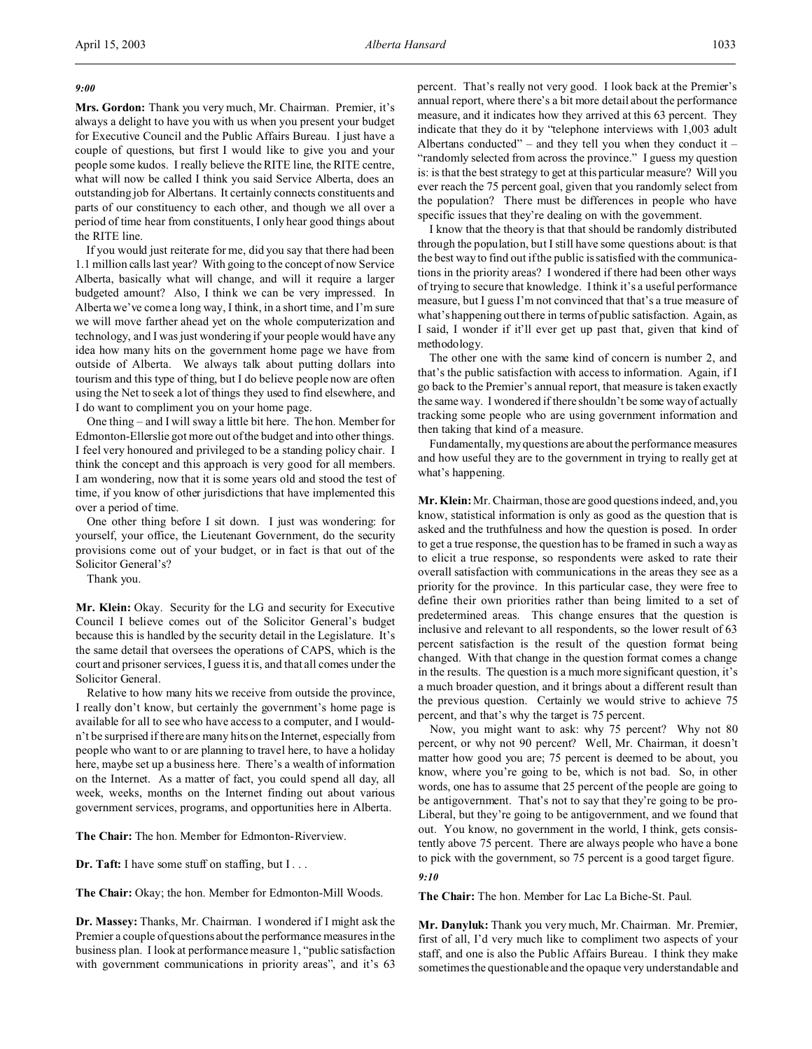## *9:00*

**Mrs. Gordon:** Thank you very much, Mr. Chairman. Premier, it's always a delight to have you with us when you present your budget for Executive Council and the Public Affairs Bureau. I just have a couple of questions, but first I would like to give you and your people some kudos. I really believe the RITE line, the RITE centre, what will now be called I think you said Service Alberta, does an outstanding job for Albertans. It certainly connects constituents and parts of our constituency to each other, and though we all over a period of time hear from constituents, I only hear good things about the RITE line.

If you would just reiterate for me, did you say that there had been 1.1 million calls last year? With going to the concept of now Service Alberta, basically what will change, and will it require a larger budgeted amount? Also, I think we can be very impressed. In Alberta we've come a long way, I think, in a short time, and I'm sure we will move farther ahead yet on the whole computerization and technology, and I was just wondering if your people would have any idea how many hits on the government home page we have from outside of Alberta. We always talk about putting dollars into tourism and this type of thing, but I do believe people now are often using the Net to seek a lot of things they used to find elsewhere, and I do want to compliment you on your home page.

One thing – and I will sway a little bit here. The hon. Member for Edmonton-Ellerslie got more out of the budget and into other things. I feel very honoured and privileged to be a standing policy chair. I think the concept and this approach is very good for all members. I am wondering, now that it is some years old and stood the test of time, if you know of other jurisdictions that have implemented this over a period of time.

One other thing before I sit down. I just was wondering: for yourself, your office, the Lieutenant Government, do the security provisions come out of your budget, or in fact is that out of the Solicitor General's?

Thank you.

**Mr. Klein:** Okay. Security for the LG and security for Executive Council I believe comes out of the Solicitor General's budget because this is handled by the security detail in the Legislature. It's the same detail that oversees the operations of CAPS, which is the court and prisoner services, I guess it is, and that all comes under the Solicitor General.

Relative to how many hits we receive from outside the province, I really don't know, but certainly the government's home page is available for all to see who have access to a computer, and I wouldn't be surprised if there are many hits on the Internet, especially from people who want to or are planning to travel here, to have a holiday here, maybe set up a business here. There's a wealth of information on the Internet. As a matter of fact, you could spend all day, all week, weeks, months on the Internet finding out about various government services, programs, and opportunities here in Alberta.

**The Chair:** The hon. Member for Edmonton-Riverview.

**Dr. Taft:** I have some stuff on staffing, but I...

**The Chair:** Okay; the hon. Member for Edmonton-Mill Woods.

**Dr. Massey:** Thanks, Mr. Chairman. I wondered if I might ask the Premier a couple of questions about the performance measures in the business plan. I look at performance measure 1, "public satisfaction with government communications in priority areas", and it's 63 percent. That's really not very good. I look back at the Premier's annual report, where there's a bit more detail about the performance measure, and it indicates how they arrived at this 63 percent. They indicate that they do it by "telephone interviews with 1,003 adult Albertans conducted" – and they tell you when they conduct it – "randomly selected from across the province." I guess my question is: is that the best strategy to get at this particular measure? Will you ever reach the 75 percent goal, given that you randomly select from the population? There must be differences in people who have specific issues that they're dealing on with the government.

I know that the theory is that that should be randomly distributed through the population, but I still have some questions about: is that the best way to find out if the public is satisfied with the communications in the priority areas? I wondered if there had been other ways of trying to secure that knowledge. I think it's a useful performance measure, but I guess I'm not convinced that that's a true measure of what's happening out there in terms of public satisfaction. Again, as I said, I wonder if it'll ever get up past that, given that kind of methodology.

The other one with the same kind of concern is number 2, and that's the public satisfaction with access to information. Again, if I go back to the Premier's annual report, that measure is taken exactly the same way. I wondered if there shouldn't be some way of actually tracking some people who are using government information and then taking that kind of a measure.

Fundamentally, my questions are about the performance measures and how useful they are to the government in trying to really get at what's happening.

**Mr. Klein:** Mr. Chairman, those are good questions indeed, and, you know, statistical information is only as good as the question that is asked and the truthfulness and how the question is posed. In order to get a true response, the question has to be framed in such a way as to elicit a true response, so respondents were asked to rate their overall satisfaction with communications in the areas they see as a priority for the province. In this particular case, they were free to define their own priorities rather than being limited to a set of predetermined areas. This change ensures that the question is inclusive and relevant to all respondents, so the lower result of 63 percent satisfaction is the result of the question format being changed. With that change in the question format comes a change in the results. The question is a much more significant question, it's a much broader question, and it brings about a different result than the previous question. Certainly we would strive to achieve 75 percent, and that's why the target is 75 percent.

Now, you might want to ask: why 75 percent? Why not 80 percent, or why not 90 percent? Well, Mr. Chairman, it doesn't matter how good you are; 75 percent is deemed to be about, you know, where you're going to be, which is not bad. So, in other words, one has to assume that 25 percent of the people are going to be antigovernment. That's not to say that they're going to be pro-Liberal, but they're going to be antigovernment, and we found that out. You know, no government in the world, I think, gets consistently above 75 percent. There are always people who have a bone to pick with the government, so 75 percent is a good target figure.

#### *9:10*

**The Chair:** The hon. Member for Lac La Biche-St. Paul.

**Mr. Danyluk:** Thank you very much, Mr. Chairman. Mr. Premier, first of all, I'd very much like to compliment two aspects of your staff, and one is also the Public Affairs Bureau. I think they make sometimes the questionable and the opaque very understandable and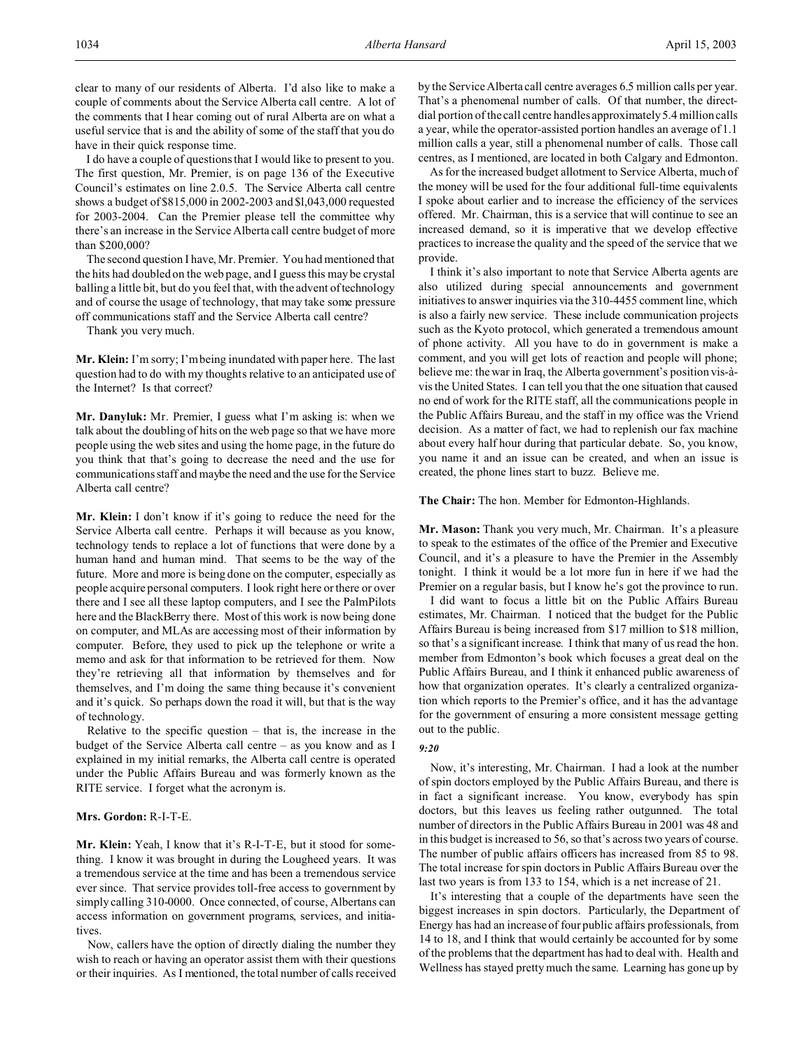clear to many of our residents of Alberta. I'd also like to make a couple of comments about the Service Alberta call centre. A lot of the comments that I hear coming out of rural Alberta are on what a useful service that is and the ability of some of the staff that you do have in their quick response time.

I do have a couple of questions that I would like to present to you. The first question, Mr. Premier, is on page 136 of the Executive Council's estimates on line 2.0.5. The Service Alberta call centre shows a budget of \$815,000 in 2002-2003 and \$l,043,000 requested for 2003-2004. Can the Premier please tell the committee why there's an increase in the Service Alberta call centre budget of more than \$200,000?

The second question I have, Mr. Premier. You had mentioned that the hits had doubled on the web page, and I guess this may be crystal balling a little bit, but do you feel that, with the advent of technology and of course the usage of technology, that may take some pressure off communications staff and the Service Alberta call centre?

Thank you very much.

**Mr. Klein:** I'm sorry; I'm being inundated with paper here. The last question had to do with my thoughts relative to an anticipated use of the Internet? Is that correct?

**Mr. Danyluk:** Mr. Premier, I guess what I'm asking is: when we talk about the doubling of hits on the web page so that we have more people using the web sites and using the home page, in the future do you think that that's going to decrease the need and the use for communications staff and maybe the need and the use for the Service Alberta call centre?

**Mr. Klein:** I don't know if it's going to reduce the need for the Service Alberta call centre. Perhaps it will because as you know, technology tends to replace a lot of functions that were done by a human hand and human mind. That seems to be the way of the future. More and more is being done on the computer, especially as people acquire personal computers. I look right here or there or over there and I see all these laptop computers, and I see the PalmPilots here and the BlackBerry there. Most of this work is now being done on computer, and MLAs are accessing most of their information by computer. Before, they used to pick up the telephone or write a memo and ask for that information to be retrieved for them. Now they're retrieving all that information by themselves and for themselves, and I'm doing the same thing because it's convenient and it's quick. So perhaps down the road it will, but that is the way of technology.

Relative to the specific question  $-$  that is, the increase in the budget of the Service Alberta call centre – as you know and as I explained in my initial remarks, the Alberta call centre is operated under the Public Affairs Bureau and was formerly known as the RITE service. I forget what the acronym is.

## **Mrs. Gordon:** R-I-T-E.

**Mr. Klein:** Yeah, I know that it's R-I-T-E, but it stood for something. I know it was brought in during the Lougheed years. It was a tremendous service at the time and has been a tremendous service ever since. That service provides toll-free access to government by simply calling 310-0000. Once connected, of course, Albertans can access information on government programs, services, and initiatives.

Now, callers have the option of directly dialing the number they wish to reach or having an operator assist them with their questions or their inquiries. As I mentioned, the total number of calls received by the Service Alberta call centre averages 6.5 million calls per year. That's a phenomenal number of calls. Of that number, the directdial portion of the call centre handles approximately 5.4 million calls a year, while the operator-assisted portion handles an average of 1.1 million calls a year, still a phenomenal number of calls. Those call centres, as I mentioned, are located in both Calgary and Edmonton.

As for the increased budget allotment to Service Alberta, much of the money will be used for the four additional full-time equivalents I spoke about earlier and to increase the efficiency of the services offered. Mr. Chairman, this is a service that will continue to see an increased demand, so it is imperative that we develop effective practices to increase the quality and the speed of the service that we provide.

I think it's also important to note that Service Alberta agents are also utilized during special announcements and government initiatives to answer inquiries via the 310-4455 comment line, which is also a fairly new service. These include communication projects such as the Kyoto protocol, which generated a tremendous amount of phone activity. All you have to do in government is make a comment, and you will get lots of reaction and people will phone; believe me: the war in Iraq, the Alberta government's position vis-àvis the United States. I can tell you that the one situation that caused no end of work for the RITE staff, all the communications people in the Public Affairs Bureau, and the staff in my office was the Vriend decision. As a matter of fact, we had to replenish our fax machine about every half hour during that particular debate. So, you know, you name it and an issue can be created, and when an issue is created, the phone lines start to buzz. Believe me.

### **The Chair:** The hon. Member for Edmonton-Highlands.

**Mr. Mason:** Thank you very much, Mr. Chairman. It's a pleasure to speak to the estimates of the office of the Premier and Executive Council, and it's a pleasure to have the Premier in the Assembly tonight. I think it would be a lot more fun in here if we had the Premier on a regular basis, but I know he's got the province to run.

I did want to focus a little bit on the Public Affairs Bureau estimates, Mr. Chairman. I noticed that the budget for the Public Affairs Bureau is being increased from \$17 million to \$18 million, so that's a significant increase. I think that many of us read the hon. member from Edmonton's book which focuses a great deal on the Public Affairs Bureau, and I think it enhanced public awareness of how that organization operates. It's clearly a centralized organization which reports to the Premier's office, and it has the advantage for the government of ensuring a more consistent message getting out to the public.

## *9:20*

Now, it's interesting, Mr. Chairman. I had a look at the number of spin doctors employed by the Public Affairs Bureau, and there is in fact a significant increase. You know, everybody has spin doctors, but this leaves us feeling rather outgunned. The total number of directors in the Public Affairs Bureau in 2001 was 48 and in this budget is increased to 56, so that's across two years of course. The number of public affairs officers has increased from 85 to 98. The total increase for spin doctors in Public Affairs Bureau over the last two years is from 133 to 154, which is a net increase of 21.

It's interesting that a couple of the departments have seen the biggest increases in spin doctors. Particularly, the Department of Energy has had an increase of four public affairs professionals, from 14 to 18, and I think that would certainly be accounted for by some of the problems that the department has had to deal with. Health and Wellness has stayed pretty much the same. Learning has gone up by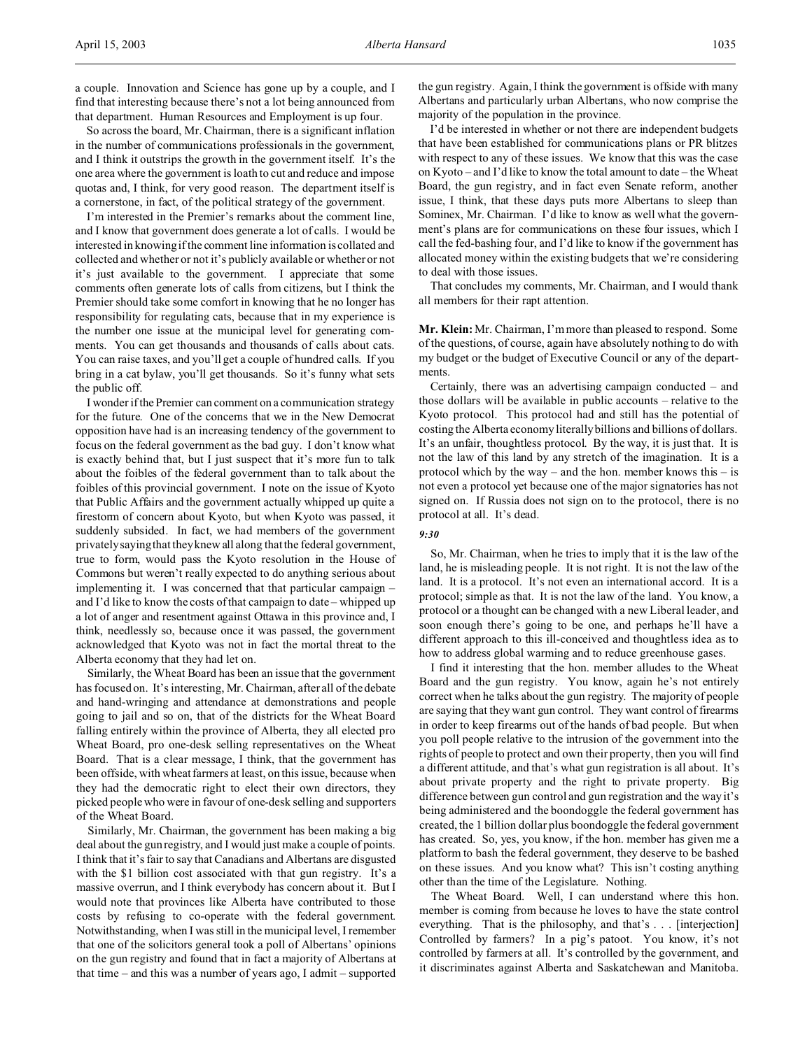So across the board, Mr. Chairman, there is a significant inflation in the number of communications professionals in the government, and I think it outstrips the growth in the government itself. It's the one area where the government is loath to cut and reduce and impose quotas and, I think, for very good reason. The department itself is a cornerstone, in fact, of the political strategy of the government.

I'm interested in the Premier's remarks about the comment line, and I know that government does generate a lot of calls. I would be interested in knowing if the comment line information is collated and collected and whether or not it's publicly available or whether or not it's just available to the government. I appreciate that some comments often generate lots of calls from citizens, but I think the Premier should take some comfort in knowing that he no longer has responsibility for regulating cats, because that in my experience is the number one issue at the municipal level for generating comments. You can get thousands and thousands of calls about cats. You can raise taxes, and you'll get a couple of hundred calls. If you bring in a cat bylaw, you'll get thousands. So it's funny what sets the public off.

I wonder if the Premier can comment on a communication strategy for the future. One of the concerns that we in the New Democrat opposition have had is an increasing tendency of the government to focus on the federal government as the bad guy. I don't know what is exactly behind that, but I just suspect that it's more fun to talk about the foibles of the federal government than to talk about the foibles of this provincial government. I note on the issue of Kyoto that Public Affairs and the government actually whipped up quite a firestorm of concern about Kyoto, but when Kyoto was passed, it suddenly subsided. In fact, we had members of the government privately saying that they knew all along that the federal government, true to form, would pass the Kyoto resolution in the House of Commons but weren't really expected to do anything serious about implementing it. I was concerned that that particular campaign – and I'd like to know the costs of that campaign to date – whipped up a lot of anger and resentment against Ottawa in this province and, I think, needlessly so, because once it was passed, the government acknowledged that Kyoto was not in fact the mortal threat to the Alberta economy that they had let on.

Similarly, the Wheat Board has been an issue that the government has focused on. It's interesting, Mr. Chairman, after all of the debate and hand-wringing and attendance at demonstrations and people going to jail and so on, that of the districts for the Wheat Board falling entirely within the province of Alberta, they all elected pro Wheat Board, pro one-desk selling representatives on the Wheat Board. That is a clear message, I think, that the government has been offside, with wheat farmers at least, on this issue, because when they had the democratic right to elect their own directors, they picked people who were in favour of one-desk selling and supporters of the Wheat Board.

Similarly, Mr. Chairman, the government has been making a big deal about the gun registry, and I would just make a couple of points. I think that it's fair to say that Canadians and Albertans are disgusted with the \$1 billion cost associated with that gun registry. It's a massive overrun, and I think everybody has concern about it. But I would note that provinces like Alberta have contributed to those costs by refusing to co-operate with the federal government. Notwithstanding, when I was still in the municipal level, I remember that one of the solicitors general took a poll of Albertans' opinions on the gun registry and found that in fact a majority of Albertans at that time – and this was a number of years ago, I admit – supported

the gun registry. Again, I think the government is offside with many Albertans and particularly urban Albertans, who now comprise the majority of the population in the province.

I'd be interested in whether or not there are independent budgets that have been established for communications plans or PR blitzes with respect to any of these issues. We know that this was the case on Kyoto – and I'd like to know the total amount to date – the Wheat Board, the gun registry, and in fact even Senate reform, another issue, I think, that these days puts more Albertans to sleep than Sominex, Mr. Chairman. I'd like to know as well what the government's plans are for communications on these four issues, which I call the fed-bashing four, and I'd like to know if the government has allocated money within the existing budgets that we're considering to deal with those issues.

That concludes my comments, Mr. Chairman, and I would thank all members for their rapt attention.

**Mr. Klein:** Mr. Chairman, I'm more than pleased to respond. Some of the questions, of course, again have absolutely nothing to do with my budget or the budget of Executive Council or any of the departments.

Certainly, there was an advertising campaign conducted – and those dollars will be available in public accounts – relative to the Kyoto protocol. This protocol had and still has the potential of costing the Alberta economy literally billions and billions of dollars. It's an unfair, thoughtless protocol. By the way, it is just that. It is not the law of this land by any stretch of the imagination. It is a protocol which by the way – and the hon. member knows this – is not even a protocol yet because one of the major signatories has not signed on. If Russia does not sign on to the protocol, there is no protocol at all. It's dead.

#### *9:30*

So, Mr. Chairman, when he tries to imply that it is the law of the land, he is misleading people. It is not right. It is not the law of the land. It is a protocol. It's not even an international accord. It is a protocol; simple as that. It is not the law of the land. You know, a protocol or a thought can be changed with a new Liberal leader, and soon enough there's going to be one, and perhaps he'll have a different approach to this ill-conceived and thoughtless idea as to how to address global warming and to reduce greenhouse gases.

I find it interesting that the hon. member alludes to the Wheat Board and the gun registry. You know, again he's not entirely correct when he talks about the gun registry. The majority of people are saying that they want gun control. They want control of firearms in order to keep firearms out of the hands of bad people. But when you poll people relative to the intrusion of the government into the rights of people to protect and own their property, then you will find a different attitude, and that's what gun registration is all about. It's about private property and the right to private property. Big difference between gun control and gun registration and the way it's being administered and the boondoggle the federal government has created, the 1 billion dollar plus boondoggle the federal government has created. So, yes, you know, if the hon. member has given me a platform to bash the federal government, they deserve to be bashed on these issues. And you know what? This isn't costing anything other than the time of the Legislature. Nothing.

The Wheat Board. Well, I can understand where this hon. member is coming from because he loves to have the state control everything. That is the philosophy, and that's . . . [interjection] Controlled by farmers? In a pig's patoot. You know, it's not controlled by farmers at all. It's controlled by the government, and it discriminates against Alberta and Saskatchewan and Manitoba.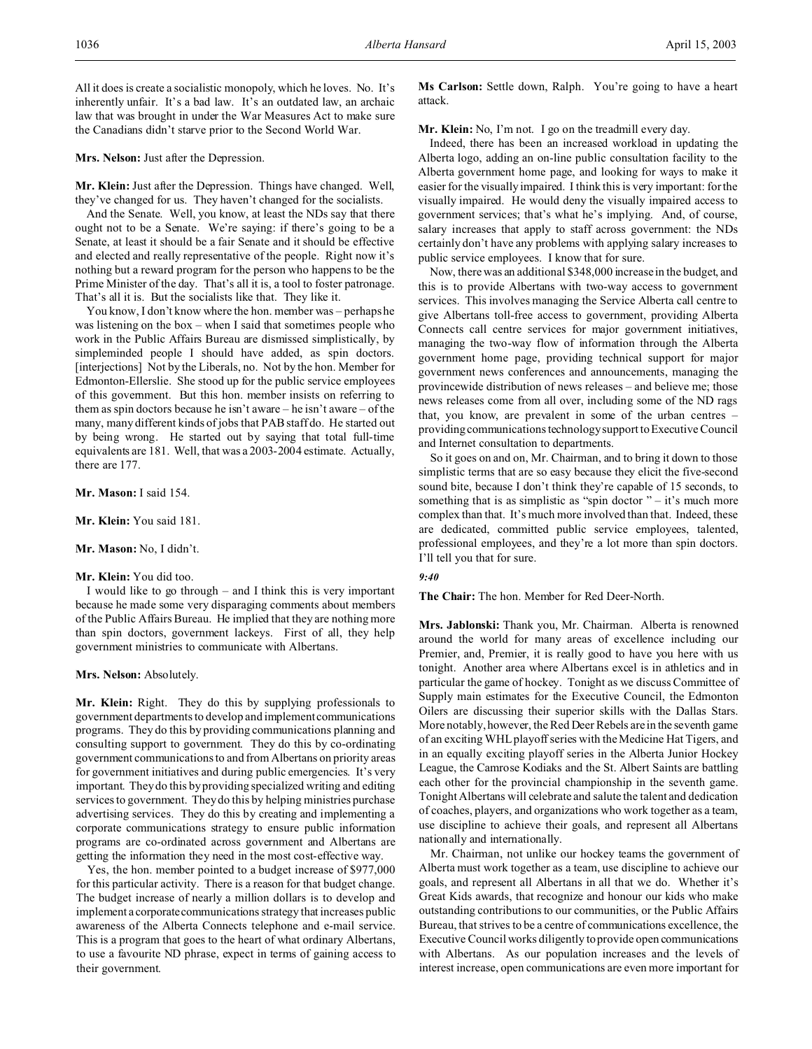All it does is create a socialistic monopoly, which he loves. No. It's inherently unfair. It's a bad law. It's an outdated law, an archaic law that was brought in under the War Measures Act to make sure the Canadians didn't starve prior to the Second World War.

### **Mrs. Nelson:** Just after the Depression.

**Mr. Klein:** Just after the Depression. Things have changed. Well, they've changed for us. They haven't changed for the socialists.

And the Senate. Well, you know, at least the NDs say that there ought not to be a Senate. We're saying: if there's going to be a Senate, at least it should be a fair Senate and it should be effective and elected and really representative of the people. Right now it's nothing but a reward program for the person who happens to be the Prime Minister of the day. That's all it is, a tool to foster patronage. That's all it is. But the socialists like that. They like it.

You know, I don't know where the hon. member was – perhaps he was listening on the box – when I said that sometimes people who work in the Public Affairs Bureau are dismissed simplistically, by simpleminded people I should have added, as spin doctors. [interjections] Not by the Liberals, no. Not by the hon. Member for Edmonton-Ellerslie. She stood up for the public service employees of this government. But this hon. member insists on referring to them as spin doctors because he isn't aware – he isn't aware – of the many, many different kinds of jobs that PAB staff do. He started out by being wrong. He started out by saying that total full-time equivalents are 181. Well, that was a 2003-2004 estimate. Actually, there are 177.

**Mr. Mason:** I said 154.

**Mr. Klein:** You said 181.

**Mr. Mason:** No, I didn't.

### **Mr. Klein:** You did too.

I would like to go through – and I think this is very important because he made some very disparaging comments about members of the Public Affairs Bureau. He implied that they are nothing more than spin doctors, government lackeys. First of all, they help government ministries to communicate with Albertans.

### **Mrs. Nelson:** Absolutely.

**Mr. Klein:** Right. They do this by supplying professionals to government departments to develop and implement communications programs. They do this by providing communications planning and consulting support to government. They do this by co-ordinating government communications to and from Albertans on priority areas for government initiatives and during public emergencies. It's very important. They do this by providing specialized writing and editing services to government. They do this by helping ministries purchase advertising services. They do this by creating and implementing a corporate communications strategy to ensure public information programs are co-ordinated across government and Albertans are getting the information they need in the most cost-effective way.

Yes, the hon. member pointed to a budget increase of \$977,000 for this particular activity. There is a reason for that budget change. The budget increase of nearly a million dollars is to develop and implement a corporatecommunications strategy that increases public awareness of the Alberta Connects telephone and e-mail service. This is a program that goes to the heart of what ordinary Albertans, to use a favourite ND phrase, expect in terms of gaining access to their government.

**Ms Carlson:** Settle down, Ralph. You're going to have a heart attack.

# **Mr. Klein:** No, I'm not. I go on the treadmill every day.

Indeed, there has been an increased workload in updating the Alberta logo, adding an on-line public consultation facility to the Alberta government home page, and looking for ways to make it easier for the visually impaired. I think this is very important: for the visually impaired. He would deny the visually impaired access to government services; that's what he's implying. And, of course, salary increases that apply to staff across government: the NDs certainly don't have any problems with applying salary increases to public service employees. I know that for sure.

Now, there was an additional \$348,000 increase in the budget, and this is to provide Albertans with two-way access to government services. This involves managing the Service Alberta call centre to give Albertans toll-free access to government, providing Alberta Connects call centre services for major government initiatives, managing the two-way flow of information through the Alberta government home page, providing technical support for major government news conferences and announcements, managing the provincewide distribution of news releases – and believe me; those news releases come from all over, including some of the ND rags that, you know, are prevalent in some of the urban centres – providing communications technology support to Executive Council and Internet consultation to departments.

So it goes on and on, Mr. Chairman, and to bring it down to those simplistic terms that are so easy because they elicit the five-second sound bite, because I don't think they're capable of 15 seconds, to something that is as simplistic as "spin doctor  $" - it"$ s much more complex than that. It's much more involved than that. Indeed, these are dedicated, committed public service employees, talented, professional employees, and they're a lot more than spin doctors. I'll tell you that for sure.

### *9:40*

**The Chair:** The hon. Member for Red Deer-North.

**Mrs. Jablonski:** Thank you, Mr. Chairman. Alberta is renowned around the world for many areas of excellence including our Premier, and, Premier, it is really good to have you here with us tonight. Another area where Albertans excel is in athletics and in particular the game of hockey. Tonight as we discuss Committee of Supply main estimates for the Executive Council, the Edmonton Oilers are discussing their superior skills with the Dallas Stars. More notably, however, the Red Deer Rebels are in the seventh game of an exciting WHL playoff series with the Medicine Hat Tigers, and in an equally exciting playoff series in the Alberta Junior Hockey League, the Camrose Kodiaks and the St. Albert Saints are battling each other for the provincial championship in the seventh game. Tonight Albertans will celebrate and salute the talent and dedication of coaches, players, and organizations who work together as a team, use discipline to achieve their goals, and represent all Albertans nationally and internationally.

Mr. Chairman, not unlike our hockey teams the government of Alberta must work together as a team, use discipline to achieve our goals, and represent all Albertans in all that we do. Whether it's Great Kids awards, that recognize and honour our kids who make outstanding contributions to our communities, or the Public Affairs Bureau, that strives to be a centre of communications excellence, the Executive Council works diligently to provide open communications with Albertans. As our population increases and the levels of interest increase, open communications are even more important for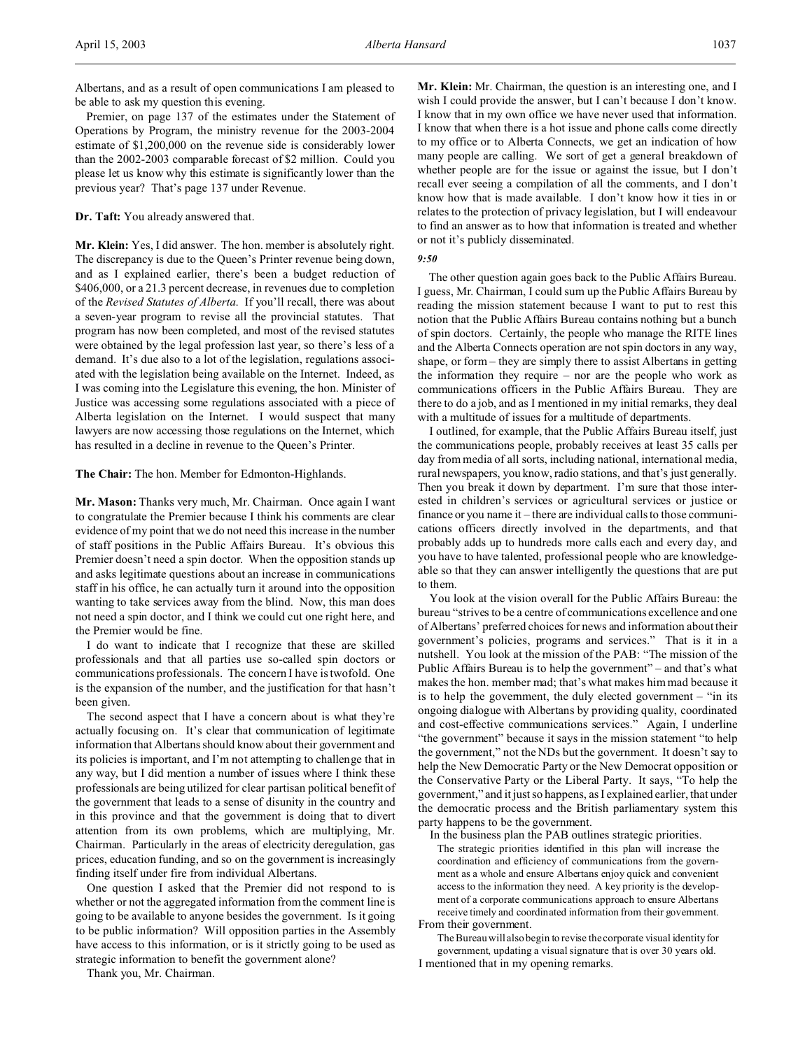Premier, on page 137 of the estimates under the Statement of Operations by Program, the ministry revenue for the 2003-2004 estimate of \$1,200,000 on the revenue side is considerably lower than the 2002-2003 comparable forecast of \$2 million. Could you please let us know why this estimate is significantly lower than the previous year? That's page 137 under Revenue.

## **Dr. Taft:** You already answered that.

**Mr. Klein:** Yes, I did answer. The hon. member is absolutely right. The discrepancy is due to the Queen's Printer revenue being down, and as I explained earlier, there's been a budget reduction of \$406,000, or a 21.3 percent decrease, in revenues due to completion of the *Revised Statutes of Alberta*. If you'll recall, there was about a seven-year program to revise all the provincial statutes. That program has now been completed, and most of the revised statutes were obtained by the legal profession last year, so there's less of a demand. It's due also to a lot of the legislation, regulations associated with the legislation being available on the Internet. Indeed, as I was coming into the Legislature this evening, the hon. Minister of Justice was accessing some regulations associated with a piece of Alberta legislation on the Internet. I would suspect that many lawyers are now accessing those regulations on the Internet, which has resulted in a decline in revenue to the Queen's Printer.

### **The Chair:** The hon. Member for Edmonton-Highlands.

**Mr. Mason:** Thanks very much, Mr. Chairman. Once again I want to congratulate the Premier because I think his comments are clear evidence of my point that we do not need this increase in the number of staff positions in the Public Affairs Bureau. It's obvious this Premier doesn't need a spin doctor. When the opposition stands up and asks legitimate questions about an increase in communications staff in his office, he can actually turn it around into the opposition wanting to take services away from the blind. Now, this man does not need a spin doctor, and I think we could cut one right here, and the Premier would be fine.

I do want to indicate that I recognize that these are skilled professionals and that all parties use so-called spin doctors or communications professionals. The concern I have is twofold. One is the expansion of the number, and the justification for that hasn't been given.

The second aspect that I have a concern about is what they're actually focusing on. It's clear that communication of legitimate information that Albertans should know about their government and its policies is important, and I'm not attempting to challenge that in any way, but I did mention a number of issues where I think these professionals are being utilized for clear partisan political benefit of the government that leads to a sense of disunity in the country and in this province and that the government is doing that to divert attention from its own problems, which are multiplying, Mr. Chairman. Particularly in the areas of electricity deregulation, gas prices, education funding, and so on the government is increasingly finding itself under fire from individual Albertans.

One question I asked that the Premier did not respond to is whether or not the aggregated information from the comment line is going to be available to anyone besides the government. Is it going to be public information? Will opposition parties in the Assembly have access to this information, or is it strictly going to be used as strategic information to benefit the government alone?

Thank you, Mr. Chairman.

**Mr. Klein:** Mr. Chairman, the question is an interesting one, and I wish I could provide the answer, but I can't because I don't know. I know that in my own office we have never used that information. I know that when there is a hot issue and phone calls come directly to my office or to Alberta Connects, we get an indication of how many people are calling. We sort of get a general breakdown of whether people are for the issue or against the issue, but I don't recall ever seeing a compilation of all the comments, and I don't know how that is made available. I don't know how it ties in or relates to the protection of privacy legislation, but I will endeavour to find an answer as to how that information is treated and whether or not it's publicly disseminated.

#### *9:50*

The other question again goes back to the Public Affairs Bureau. I guess, Mr. Chairman, I could sum up the Public Affairs Bureau by reading the mission statement because I want to put to rest this notion that the Public Affairs Bureau contains nothing but a bunch of spin doctors. Certainly, the people who manage the RITE lines and the Alberta Connects operation are not spin doctors in any way, shape, or form – they are simply there to assist Albertans in getting the information they require – nor are the people who work as communications officers in the Public Affairs Bureau. They are there to do a job, and as I mentioned in my initial remarks, they deal with a multitude of issues for a multitude of departments.

I outlined, for example, that the Public Affairs Bureau itself, just the communications people, probably receives at least 35 calls per day from media of all sorts, including national, international media, rural newspapers, you know, radio stations, and that's just generally. Then you break it down by department. I'm sure that those interested in children's services or agricultural services or justice or finance or you name it – there are individual calls to those communications officers directly involved in the departments, and that probably adds up to hundreds more calls each and every day, and you have to have talented, professional people who are knowledgeable so that they can answer intelligently the questions that are put to them.

You look at the vision overall for the Public Affairs Bureau: the bureau "strives to be a centre of communications excellence and one of Albertans' preferred choices for news and information about their government's policies, programs and services." That is it in a nutshell. You look at the mission of the PAB: "The mission of the Public Affairs Bureau is to help the government" – and that's what makes the hon. member mad; that's what makes him mad because it is to help the government, the duly elected government – "in its ongoing dialogue with Albertans by providing quality, coordinated and cost-effective communications services." Again, I underline "the government" because it says in the mission statement "to help the government," not the NDs but the government. It doesn't say to help the New Democratic Party or the New Democrat opposition or the Conservative Party or the Liberal Party. It says, "To help the government," and it just so happens, as I explained earlier, that under the democratic process and the British parliamentary system this party happens to be the government.

In the business plan the PAB outlines strategic priorities.

The strategic priorities identified in this plan will increase the coordination and efficiency of communications from the government as a whole and ensure Albertans enjoy quick and convenient access to the information they need. A key priority is the development of a corporate communications approach to ensure Albertans receive timely and coordinated information from their government. From their government.

The Bureau will also begin to revise the corporate visual identity for government, updating a visual signature that is over 30 years old. I mentioned that in my opening remarks.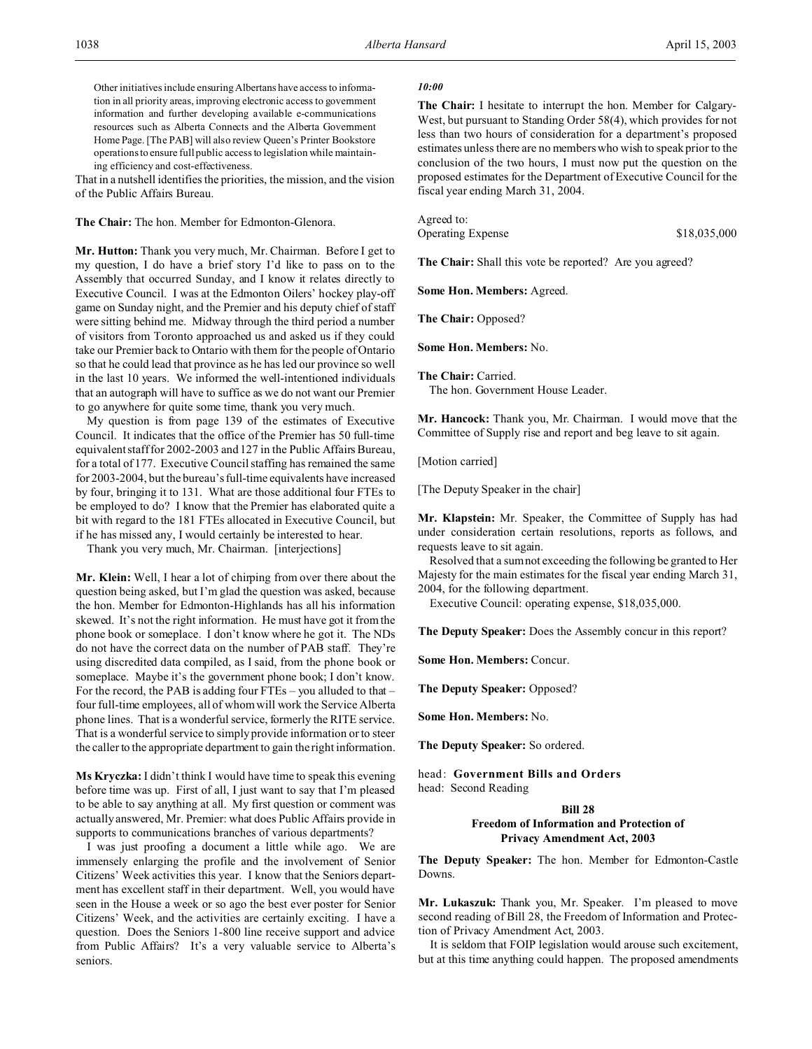Other initiatives include ensuring Albertans have access to information in all priority areas, improving electronic access to government information and further developing available e-communications resources such as Alberta Connects and the Alberta Government Home Page. [The PAB] will also review Queen's Printer Bookstore operations to ensure full public access to legislation while maintaining efficiency and cost-effectiveness.

That in a nutshell identifies the priorities, the mission, and the vision of the Public Affairs Bureau.

**The Chair:** The hon. Member for Edmonton-Glenora.

**Mr. Hutton:** Thank you very much, Mr. Chairman. Before I get to my question, I do have a brief story I'd like to pass on to the Assembly that occurred Sunday, and I know it relates directly to Executive Council. I was at the Edmonton Oilers' hockey play-off game on Sunday night, and the Premier and his deputy chief of staff were sitting behind me. Midway through the third period a number of visitors from Toronto approached us and asked us if they could take our Premier back to Ontario with them for the people of Ontario so that he could lead that province as he has led our province so well in the last 10 years. We informed the well-intentioned individuals that an autograph will have to suffice as we do not want our Premier to go anywhere for quite some time, thank you very much.

My question is from page 139 of the estimates of Executive Council. It indicates that the office of the Premier has 50 full-time equivalent staff for 2002-2003 and 127 in the Public Affairs Bureau, for a total of 177. Executive Council staffing has remained the same for 2003-2004, but the bureau's full-time equivalents have increased by four, bringing it to 131. What are those additional four FTEs to be employed to do? I know that the Premier has elaborated quite a bit with regard to the 181 FTEs allocated in Executive Council, but if he has missed any, I would certainly be interested to hear.

Thank you very much, Mr. Chairman. [interjections]

**Mr. Klein:** Well, I hear a lot of chirping from over there about the question being asked, but I'm glad the question was asked, because the hon. Member for Edmonton-Highlands has all his information skewed. It's not the right information. He must have got it from the phone book or someplace. I don't know where he got it. The NDs do not have the correct data on the number of PAB staff. They're using discredited data compiled, as I said, from the phone book or someplace. Maybe it's the government phone book; I don't know. For the record, the PAB is adding four FTEs – you alluded to that – four full-time employees, all of whom will work the Service Alberta phone lines. That is a wonderful service, formerly the RITE service. That is a wonderful service to simply provide information or to steer the caller to the appropriate department to gain the right information.

**Ms Kryczka:** I didn't think I would have time to speak this evening before time was up. First of all, I just want to say that I'm pleased to be able to say anything at all. My first question or comment was actually answered, Mr. Premier: what does Public Affairs provide in supports to communications branches of various departments?

I was just proofing a document a little while ago. We are immensely enlarging the profile and the involvement of Senior Citizens' Week activities this year. I know that the Seniors department has excellent staff in their department. Well, you would have seen in the House a week or so ago the best ever poster for Senior Citizens' Week, and the activities are certainly exciting. I have a question. Does the Seniors 1-800 line receive support and advice from Public Affairs? It's a very valuable service to Alberta's seniors.

### *10:00*

**The Chair:** I hesitate to interrupt the hon. Member for Calgary-West, but pursuant to Standing Order 58(4), which provides for not less than two hours of consideration for a department's proposed estimates unless there are no members who wish to speak prior to the conclusion of the two hours, I must now put the question on the proposed estimates for the Department of Executive Council for the fiscal year ending March 31, 2004.

Agreed to:

Operating Expense \$18,035,000

**The Chair:** Shall this vote be reported? Are you agreed?

**Some Hon. Members:** Agreed.

**The Chair:** Opposed?

**Some Hon. Members:** No.

**The Chair:** Carried. The hon. Government House Leader.

**Mr. Hancock:** Thank you, Mr. Chairman. I would move that the Committee of Supply rise and report and beg leave to sit again.

[Motion carried]

[The Deputy Speaker in the chair]

**Mr. Klapstein:** Mr. Speaker, the Committee of Supply has had under consideration certain resolutions, reports as follows, and requests leave to sit again.

Resolved that a sum not exceeding the following be granted to Her Majesty for the main estimates for the fiscal year ending March 31, 2004, for the following department.

Executive Council: operating expense, \$18,035,000.

**The Deputy Speaker:** Does the Assembly concur in this report?

**Some Hon. Members:** Concur.

**The Deputy Speaker:** Opposed?

**Some Hon. Members:** No.

**The Deputy Speaker:** So ordered.

head: **Government Bills and Orders** head: Second Reading

## **Bill 28 Freedom of Information and Protection of Privacy Amendment Act, 2003**

**The Deputy Speaker:** The hon. Member for Edmonton-Castle Downs.

**Mr. Lukaszuk:** Thank you, Mr. Speaker. I'm pleased to move second reading of Bill 28, the Freedom of Information and Protection of Privacy Amendment Act, 2003.

It is seldom that FOIP legislation would arouse such excitement, but at this time anything could happen. The proposed amendments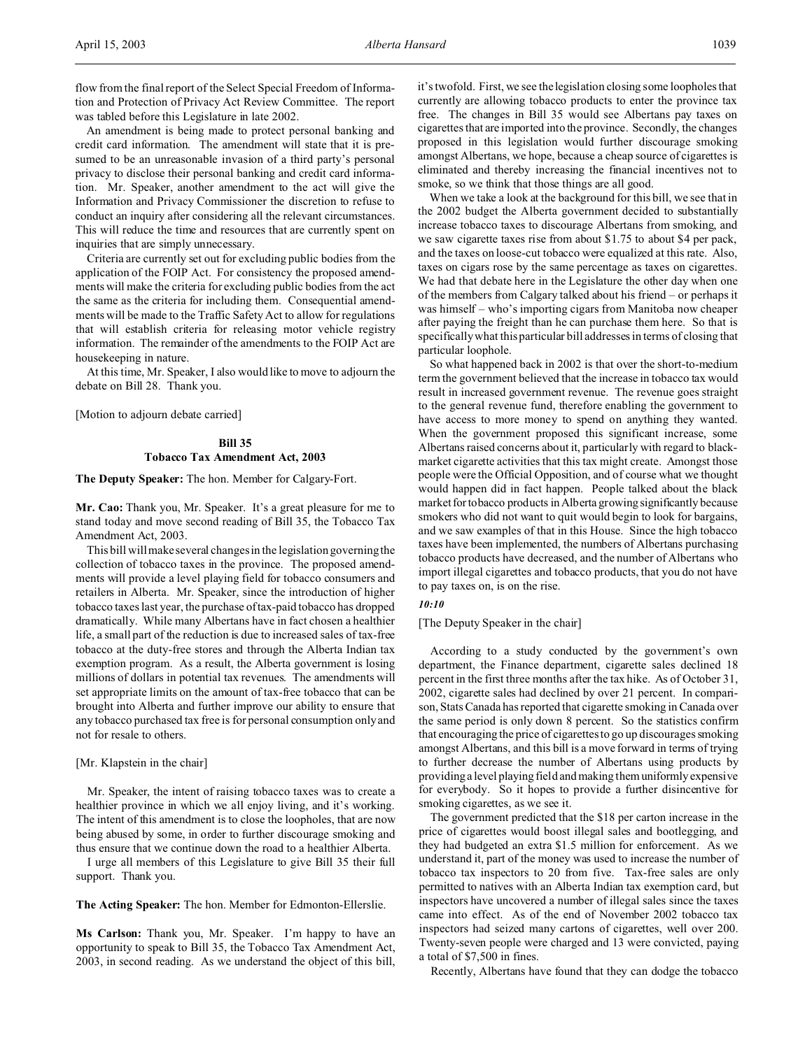An amendment is being made to protect personal banking and credit card information. The amendment will state that it is presumed to be an unreasonable invasion of a third party's personal privacy to disclose their personal banking and credit card information. Mr. Speaker, another amendment to the act will give the Information and Privacy Commissioner the discretion to refuse to conduct an inquiry after considering all the relevant circumstances. This will reduce the time and resources that are currently spent on inquiries that are simply unnecessary.

Criteria are currently set out for excluding public bodies from the application of the FOIP Act. For consistency the proposed amendments will make the criteria for excluding public bodies from the act the same as the criteria for including them. Consequential amendments will be made to the Traffic Safety Act to allow for regulations that will establish criteria for releasing motor vehicle registry information. The remainder of the amendments to the FOIP Act are housekeeping in nature.

At this time, Mr. Speaker, I also would like to move to adjourn the debate on Bill 28. Thank you.

[Motion to adjourn debate carried]

# **Bill 35 Tobacco Tax Amendment Act, 2003**

**The Deputy Speaker:** The hon. Member for Calgary-Fort.

**Mr. Cao:** Thank you, Mr. Speaker. It's a great pleasure for me to stand today and move second reading of Bill 35, the Tobacco Tax Amendment Act, 2003.

This bill will make several changes in the legislation governing the collection of tobacco taxes in the province. The proposed amendments will provide a level playing field for tobacco consumers and retailers in Alberta. Mr. Speaker, since the introduction of higher tobacco taxes last year, the purchase of tax-paid tobacco has dropped dramatically. While many Albertans have in fact chosen a healthier life, a small part of the reduction is due to increased sales of tax-free tobacco at the duty-free stores and through the Alberta Indian tax exemption program. As a result, the Alberta government is losing millions of dollars in potential tax revenues. The amendments will set appropriate limits on the amount of tax-free tobacco that can be brought into Alberta and further improve our ability to ensure that any tobacco purchased tax free is for personal consumption only and not for resale to others.

## [Mr. Klapstein in the chair]

Mr. Speaker, the intent of raising tobacco taxes was to create a healthier province in which we all enjoy living, and it's working. The intent of this amendment is to close the loopholes, that are now being abused by some, in order to further discourage smoking and thus ensure that we continue down the road to a healthier Alberta.

I urge all members of this Legislature to give Bill 35 their full support. Thank you.

**The Acting Speaker:** The hon. Member for Edmonton-Ellerslie.

**Ms Carlson:** Thank you, Mr. Speaker. I'm happy to have an opportunity to speak to Bill 35, the Tobacco Tax Amendment Act, 2003, in second reading. As we understand the object of this bill, it's twofold. First, we see the legislation closing some loopholes that currently are allowing tobacco products to enter the province tax free. The changes in Bill 35 would see Albertans pay taxes on cigarettes that are imported into the province. Secondly, the changes proposed in this legislation would further discourage smoking amongst Albertans, we hope, because a cheap source of cigarettes is eliminated and thereby increasing the financial incentives not to smoke, so we think that those things are all good.

When we take a look at the background for this bill, we see that in the 2002 budget the Alberta government decided to substantially increase tobacco taxes to discourage Albertans from smoking, and we saw cigarette taxes rise from about \$1.75 to about \$4 per pack, and the taxes on loose-cut tobacco were equalized at this rate. Also, taxes on cigars rose by the same percentage as taxes on cigarettes. We had that debate here in the Legislature the other day when one of the members from Calgary talked about his friend – or perhaps it was himself – who's importing cigars from Manitoba now cheaper after paying the freight than he can purchase them here. So that is specifically what this particular bill addresses in terms of closing that particular loophole.

So what happened back in 2002 is that over the short-to-medium term the government believed that the increase in tobacco tax would result in increased government revenue. The revenue goes straight to the general revenue fund, therefore enabling the government to have access to more money to spend on anything they wanted. When the government proposed this significant increase, some Albertans raised concerns about it, particularly with regard to blackmarket cigarette activities that this tax might create. Amongst those people were the Official Opposition, and of course what we thought would happen did in fact happen. People talked about the black market for tobacco products in Alberta growing significantly because smokers who did not want to quit would begin to look for bargains, and we saw examples of that in this House. Since the high tobacco taxes have been implemented, the numbers of Albertans purchasing tobacco products have decreased, and the number of Albertans who import illegal cigarettes and tobacco products, that you do not have to pay taxes on, is on the rise.

## *10:10*

## [The Deputy Speaker in the chair]

According to a study conducted by the government's own department, the Finance department, cigarette sales declined 18 percent in the first three months after the tax hike. As of October 31, 2002, cigarette sales had declined by over 21 percent. In comparison, Stats Canada has reported that cigarette smoking in Canada over the same period is only down 8 percent. So the statistics confirm that encouraging the price of cigarettes to go up discourages smoking amongst Albertans, and this bill is a move forward in terms of trying to further decrease the number of Albertans using products by providing a level playing field and making them uniformly expensive for everybody. So it hopes to provide a further disincentive for smoking cigarettes, as we see it.

The government predicted that the \$18 per carton increase in the price of cigarettes would boost illegal sales and bootlegging, and they had budgeted an extra \$1.5 million for enforcement. As we understand it, part of the money was used to increase the number of tobacco tax inspectors to 20 from five. Tax-free sales are only permitted to natives with an Alberta Indian tax exemption card, but inspectors have uncovered a number of illegal sales since the taxes came into effect. As of the end of November 2002 tobacco tax inspectors had seized many cartons of cigarettes, well over 200. Twenty-seven people were charged and 13 were convicted, paying a total of \$7,500 in fines.

Recently, Albertans have found that they can dodge the tobacco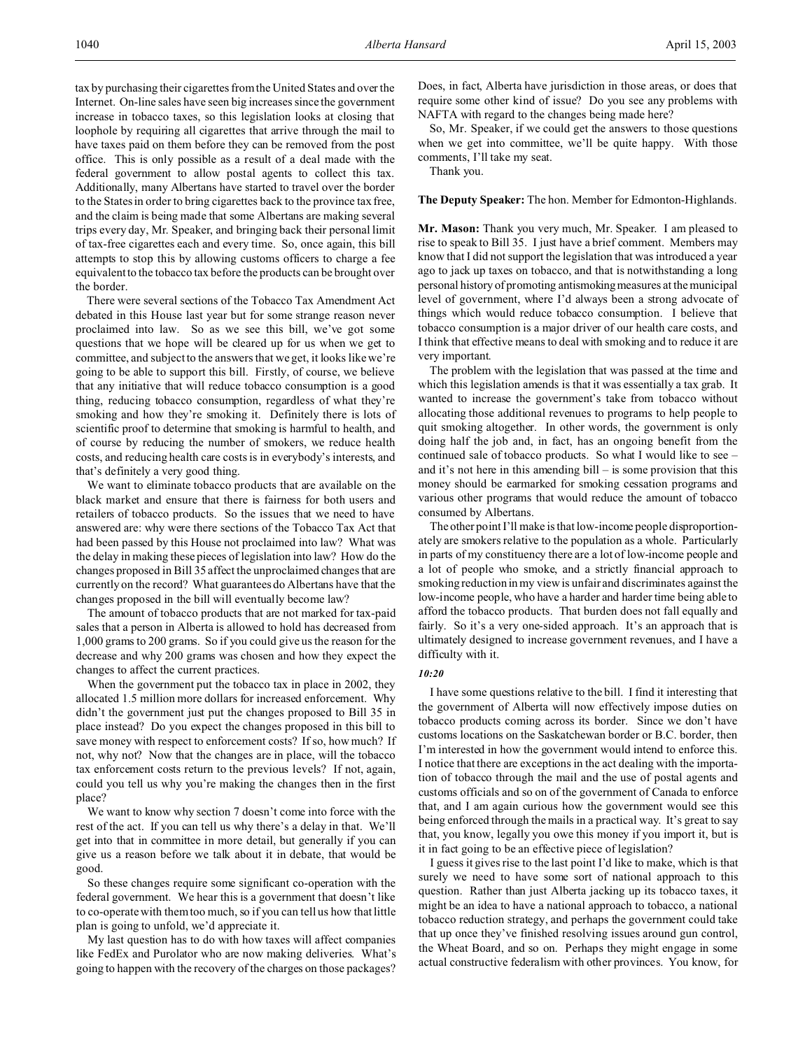tax by purchasing their cigarettes from the United States and over the Internet. On-line sales have seen big increases since the government increase in tobacco taxes, so this legislation looks at closing that loophole by requiring all cigarettes that arrive through the mail to have taxes paid on them before they can be removed from the post office. This is only possible as a result of a deal made with the federal government to allow postal agents to collect this tax. Additionally, many Albertans have started to travel over the border to the States in order to bring cigarettes back to the province tax free, and the claim is being made that some Albertans are making several trips every day, Mr. Speaker, and bringing back their personal limit of tax-free cigarettes each and every time. So, once again, this bill attempts to stop this by allowing customs officers to charge a fee equivalent to the tobacco tax before the products can be brought over the border.

There were several sections of the Tobacco Tax Amendment Act debated in this House last year but for some strange reason never proclaimed into law. So as we see this bill, we've got some questions that we hope will be cleared up for us when we get to committee, and subject to the answers that we get, it looks like we're going to be able to support this bill. Firstly, of course, we believe that any initiative that will reduce tobacco consumption is a good thing, reducing tobacco consumption, regardless of what they're smoking and how they're smoking it. Definitely there is lots of scientific proof to determine that smoking is harmful to health, and of course by reducing the number of smokers, we reduce health costs, and reducing health care costs is in everybody's interests, and that's definitely a very good thing.

We want to eliminate tobacco products that are available on the black market and ensure that there is fairness for both users and retailers of tobacco products. So the issues that we need to have answered are: why were there sections of the Tobacco Tax Act that had been passed by this House not proclaimed into law? What was the delay in making these pieces of legislation into law? How do the changes proposed in Bill 35 affect the unproclaimed changes that are currently on the record? What guarantees do Albertans have that the changes proposed in the bill will eventually become law?

The amount of tobacco products that are not marked for tax-paid sales that a person in Alberta is allowed to hold has decreased from 1,000 grams to 200 grams. So if you could give us the reason for the decrease and why 200 grams was chosen and how they expect the changes to affect the current practices.

When the government put the tobacco tax in place in 2002, they allocated 1.5 million more dollars for increased enforcement. Why didn't the government just put the changes proposed to Bill 35 in place instead? Do you expect the changes proposed in this bill to save money with respect to enforcement costs? If so, how much? If not, why not? Now that the changes are in place, will the tobacco tax enforcement costs return to the previous levels? If not, again, could you tell us why you're making the changes then in the first place?

We want to know why section 7 doesn't come into force with the rest of the act. If you can tell us why there's a delay in that. We'll get into that in committee in more detail, but generally if you can give us a reason before we talk about it in debate, that would be good.

So these changes require some significant co-operation with the federal government. We hear this is a government that doesn't like to co-operate with them too much, so if you can tell us how that little plan is going to unfold, we'd appreciate it.

My last question has to do with how taxes will affect companies like FedEx and Purolator who are now making deliveries. What's going to happen with the recovery of the charges on those packages? Does, in fact, Alberta have jurisdiction in those areas, or does that require some other kind of issue? Do you see any problems with NAFTA with regard to the changes being made here?

So, Mr. Speaker, if we could get the answers to those questions when we get into committee, we'll be quite happy. With those comments, I'll take my seat.

Thank you.

### **The Deputy Speaker:** The hon. Member for Edmonton-Highlands.

**Mr. Mason:** Thank you very much, Mr. Speaker. I am pleased to rise to speak to Bill 35. I just have a brief comment. Members may know that I did not support the legislation that was introduced a year ago to jack up taxes on tobacco, and that is notwithstanding a long personal history of promoting antismokingmeasures at the municipal level of government, where I'd always been a strong advocate of things which would reduce tobacco consumption. I believe that tobacco consumption is a major driver of our health care costs, and I think that effective means to deal with smoking and to reduce it are very important.

The problem with the legislation that was passed at the time and which this legislation amends is that it was essentially a tax grab. It wanted to increase the government's take from tobacco without allocating those additional revenues to programs to help people to quit smoking altogether. In other words, the government is only doing half the job and, in fact, has an ongoing benefit from the continued sale of tobacco products. So what I would like to see – and it's not here in this amending  $\text{bill} - \text{is}$  some provision that this money should be earmarked for smoking cessation programs and various other programs that would reduce the amount of tobacco consumed by Albertans.

The other point I'll make is that low-income people disproportionately are smokers relative to the population as a whole. Particularly in parts of my constituency there are a lot of low-income people and a lot of people who smoke, and a strictly financial approach to smoking reduction in my view is unfair and discriminates against the low-income people, who have a harder and harder time being able to afford the tobacco products. That burden does not fall equally and fairly. So it's a very one-sided approach. It's an approach that is ultimately designed to increase government revenues, and I have a difficulty with it.

### *10:20*

I have some questions relative to the bill. I find it interesting that the government of Alberta will now effectively impose duties on tobacco products coming across its border. Since we don't have customs locations on the Saskatchewan border or B.C. border, then I'm interested in how the government would intend to enforce this. I notice that there are exceptions in the act dealing with the importation of tobacco through the mail and the use of postal agents and customs officials and so on of the government of Canada to enforce that, and I am again curious how the government would see this being enforced through the mails in a practical way. It's great to say that, you know, legally you owe this money if you import it, but is it in fact going to be an effective piece of legislation?

I guess it gives rise to the last point I'd like to make, which is that surely we need to have some sort of national approach to this question. Rather than just Alberta jacking up its tobacco taxes, it might be an idea to have a national approach to tobacco, a national tobacco reduction strategy, and perhaps the government could take that up once they've finished resolving issues around gun control, the Wheat Board, and so on. Perhaps they might engage in some actual constructive federalism with other provinces. You know, for